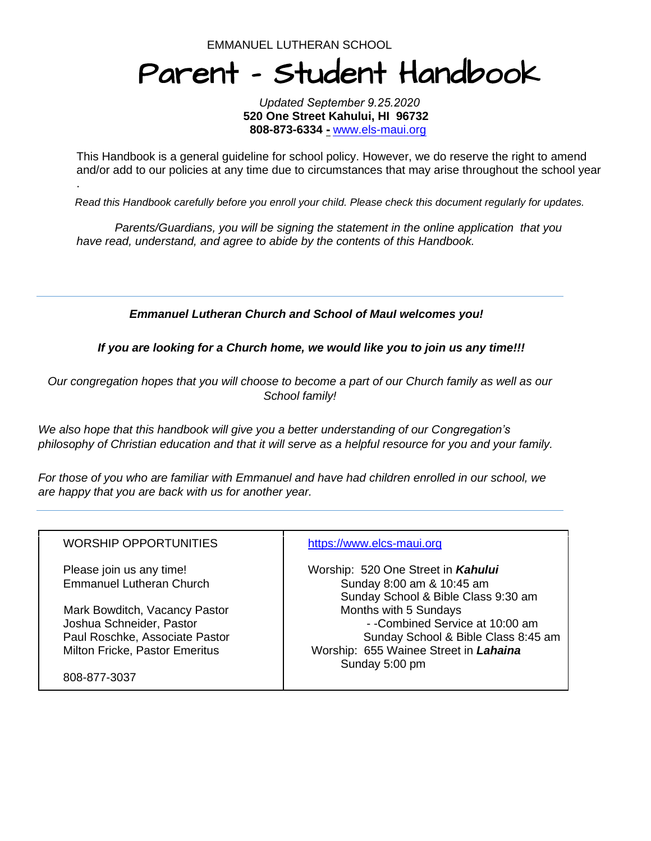EMMANUEL LUTHERAN SCHOOL

.

# Parent - Student Handbook

*Updated September 9.25.2020*  **520 One Street Kahului, HI 96732 808-873-6334 -** [www.els-maui.org](http://www.els-maui.org)

This Handbook is a general guideline for [school](http://www.els-maui.org/) policy. However, we do reserve the right to amend and/or add to our policies at any time due to circumstances that may arise throughout the school year

*Read this Handbook carefully before you enroll your child. Please check this document regularly for updates.*

*Parents/Guardians, you will be signing the statement in the online application that you have read, understand, and agree to abide by the contents of this Handbook.*

 *Emmanuel Lutheran Church and School of MauI welcomes you!*

 *If you are looking for a Church home, we would like you to join us any time!!!*

*Our congregation hopes that you will choose to become a part of our Church family as well as our School family!*

*We also hope that this handbook will give you a better understanding of our Congregation's philosophy of Christian education and that it will serve as a helpful resource for you and your family.*

*For those of you who are familiar with Emmanuel and have had children enrolled in our school, we are happy that you are back with us for another year.*

| <b>WORSHIP OPPORTUNITIES</b>                                                                                                  | https://www.elcs-maui.org                                                                                                                                  |
|-------------------------------------------------------------------------------------------------------------------------------|------------------------------------------------------------------------------------------------------------------------------------------------------------|
| Please join us any time!<br><b>Emmanuel Lutheran Church</b>                                                                   | Worship: 520 One Street in Kahului<br>Sunday 8:00 am & 10:45 am<br>Sunday School & Bible Class 9:30 am                                                     |
| Mark Bowditch, Vacancy Pastor<br>Joshua Schneider, Pastor<br>Paul Roschke, Associate Pastor<br>Milton Fricke, Pastor Emeritus | Months with 5 Sundays<br>- -Combined Service at 10:00 am<br>Sunday School & Bible Class 8:45 am<br>Worship: 655 Wainee Street in Lahaina<br>Sunday 5:00 pm |
| 808-877-3037                                                                                                                  |                                                                                                                                                            |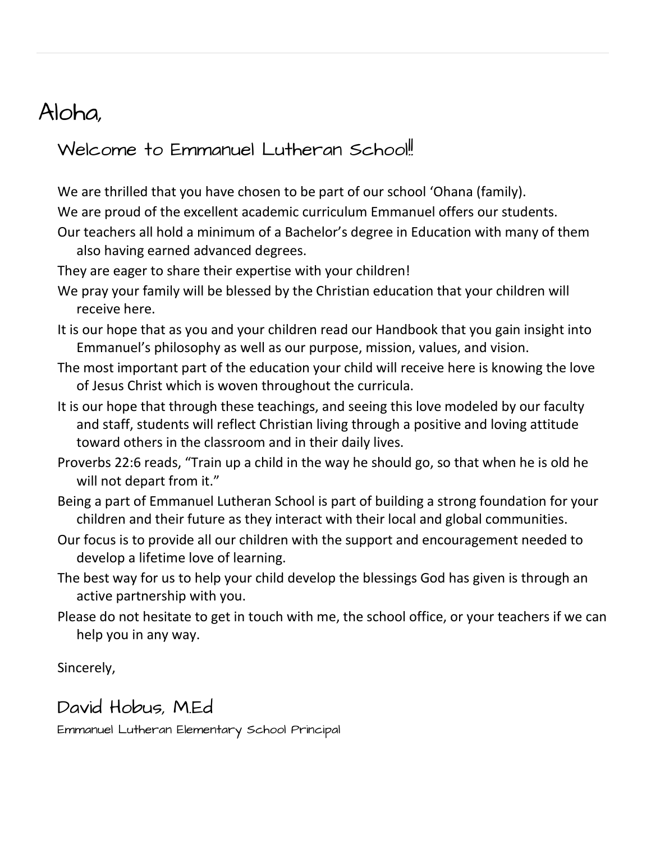# Aloha,

### Welcome to Emmanuel Lutheran School!

We are thrilled that you have chosen to be part of our school 'Ohana (family).

We are proud of the excellent academic curriculum Emmanuel offers our students.

Our teachers all hold a minimum of a Bachelor's degree in Education with many of them also having earned advanced degrees.

They are eager to share their expertise with your children!

- We pray your family will be blessed by the Christian education that your children will receive here.
- It is our hope that as you and your children read our Handbook that you gain insight into Emmanuel's philosophy as well as our purpose, mission, values, and vision.
- The most important part of the education your child will receive here is knowing the love of Jesus Christ which is woven throughout the curricula.
- It is our hope that through these teachings, and seeing this love modeled by our faculty and staff, students will reflect Christian living through a positive and loving attitude toward others in the classroom and in their daily lives.
- Proverbs 22:6 reads, "Train up a child in the way he should go, so that when he is old he will not depart from it."
- Being a part of Emmanuel Lutheran School is part of building a strong foundation for your children and their future as they interact with their local and global communities.
- Our focus is to provide all our children with the support and encouragement needed to develop a lifetime love of learning.
- The best way for us to help your child develop the blessings God has given is through an active partnership with you.
- Please do not hesitate to get in touch with me, the school office, or your teachers if we can help you in any way.

Sincerely,

# David Hobus, MEd

Emmanuel Lutheran Elementary School Principal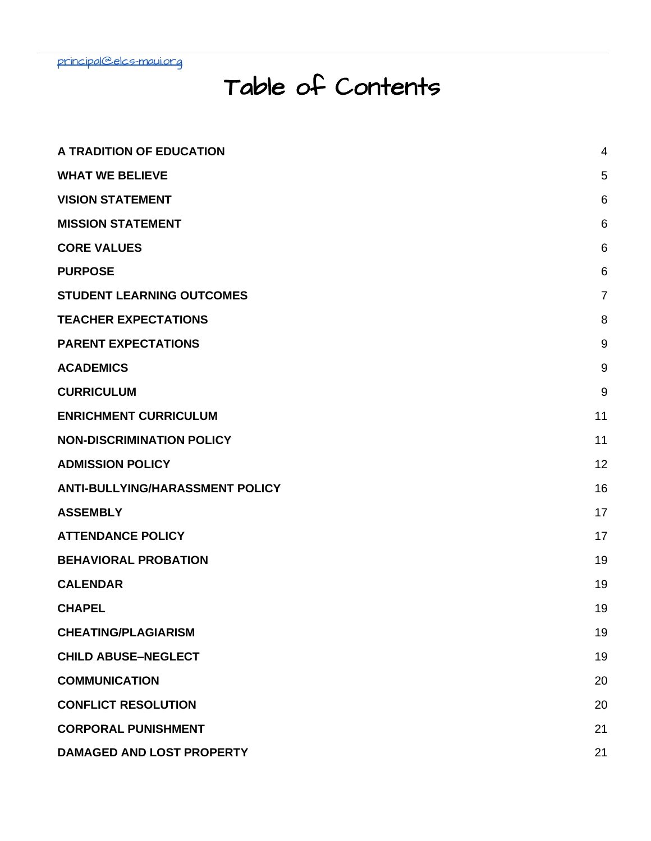# Table of Contents

| A TRADITION OF EDUCATION               | 4              |
|----------------------------------------|----------------|
| <b>WHAT WE BELIEVE</b>                 | 5              |
| <b>VISION STATEMENT</b>                | 6              |
| <b>MISSION STATEMENT</b>               | 6              |
| <b>CORE VALUES</b>                     | 6              |
| <b>PURPOSE</b>                         | 6              |
| <b>STUDENT LEARNING OUTCOMES</b>       | $\overline{7}$ |
| <b>TEACHER EXPECTATIONS</b>            | 8              |
| <b>PARENT EXPECTATIONS</b>             | 9              |
| <b>ACADEMICS</b>                       | 9              |
| <b>CURRICULUM</b>                      | 9              |
| <b>ENRICHMENT CURRICULUM</b>           | 11             |
| <b>NON-DISCRIMINATION POLICY</b>       | 11             |
| <b>ADMISSION POLICY</b>                | 12             |
| <b>ANTI-BULLYING/HARASSMENT POLICY</b> | 16             |
| <b>ASSEMBLY</b>                        | 17             |
| <b>ATTENDANCE POLICY</b>               | 17             |
| <b>BEHAVIORAL PROBATION</b>            | 19             |
| <b>CALENDAR</b>                        | 19             |
| <b>CHAPEL</b>                          | 19             |
| <b>CHEATING/PLAGIARISM</b>             | 19             |
| <b>CHILD ABUSE-NEGLECT</b>             | 19             |
| <b>COMMUNICATION</b>                   | 20             |
| <b>CONFLICT RESOLUTION</b>             | 20             |
| <b>CORPORAL PUNISHMENT</b>             | 21             |
| DAMAGED AND LOST PROPERTY              | 21             |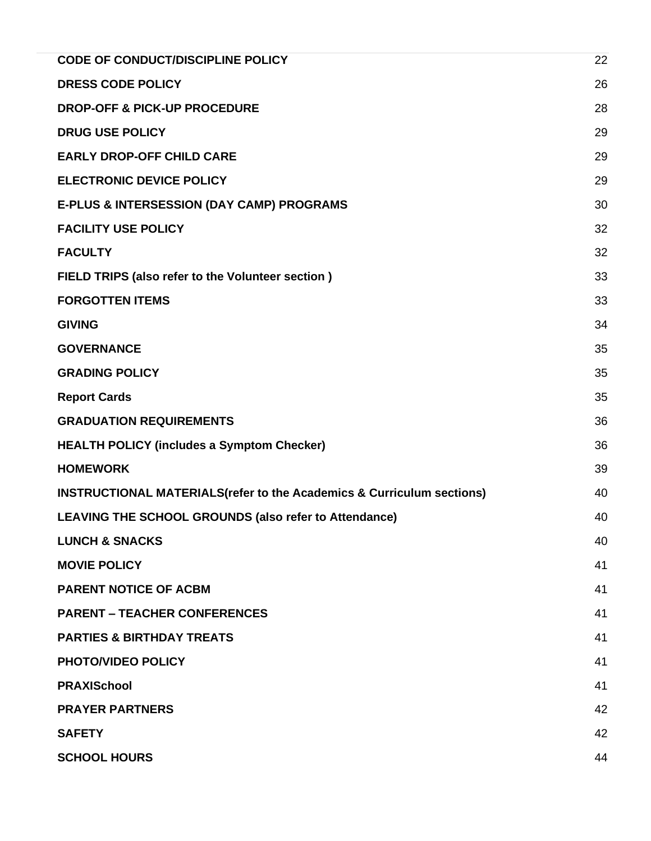| <b>CODE OF CONDUCT/DISCIPLINE POLICY</b>                                          | 22 |
|-----------------------------------------------------------------------------------|----|
| <b>DRESS CODE POLICY</b>                                                          | 26 |
| <b>DROP-OFF &amp; PICK-UP PROCEDURE</b>                                           | 28 |
| <b>DRUG USE POLICY</b>                                                            | 29 |
| <b>EARLY DROP-OFF CHILD CARE</b>                                                  | 29 |
| <b>ELECTRONIC DEVICE POLICY</b>                                                   | 29 |
| <b>E-PLUS &amp; INTERSESSION (DAY CAMP) PROGRAMS</b>                              | 30 |
| <b>FACILITY USE POLICY</b>                                                        | 32 |
| <b>FACULTY</b>                                                                    | 32 |
| FIELD TRIPS (also refer to the Volunteer section)                                 | 33 |
| <b>FORGOTTEN ITEMS</b>                                                            | 33 |
| <b>GIVING</b>                                                                     | 34 |
| <b>GOVERNANCE</b>                                                                 | 35 |
| <b>GRADING POLICY</b>                                                             | 35 |
| <b>Report Cards</b>                                                               | 35 |
| <b>GRADUATION REQUIREMENTS</b>                                                    | 36 |
| <b>HEALTH POLICY (includes a Symptom Checker)</b>                                 | 36 |
| <b>HOMEWORK</b>                                                                   | 39 |
| <b>INSTRUCTIONAL MATERIALS (refer to the Academics &amp; Curriculum sections)</b> | 40 |
| LEAVING THE SCHOOL GROUNDS (also refer to Attendance)                             | 40 |
| <b>LUNCH &amp; SNACKS</b>                                                         | 40 |
| <b>MOVIE POLICY</b>                                                               | 41 |
| <b>PARENT NOTICE OF ACBM</b>                                                      | 41 |
| <b>PARENT – TEACHER CONFERENCES</b>                                               | 41 |
| <b>PARTIES &amp; BIRTHDAY TREATS</b>                                              | 41 |
| <b>PHOTO/VIDEO POLICY</b>                                                         | 41 |
| <b>PRAXISchool</b>                                                                | 41 |
| <b>PRAYER PARTNERS</b>                                                            | 42 |
| <b>SAFETY</b>                                                                     | 42 |
| <b>SCHOOL HOURS</b>                                                               | 44 |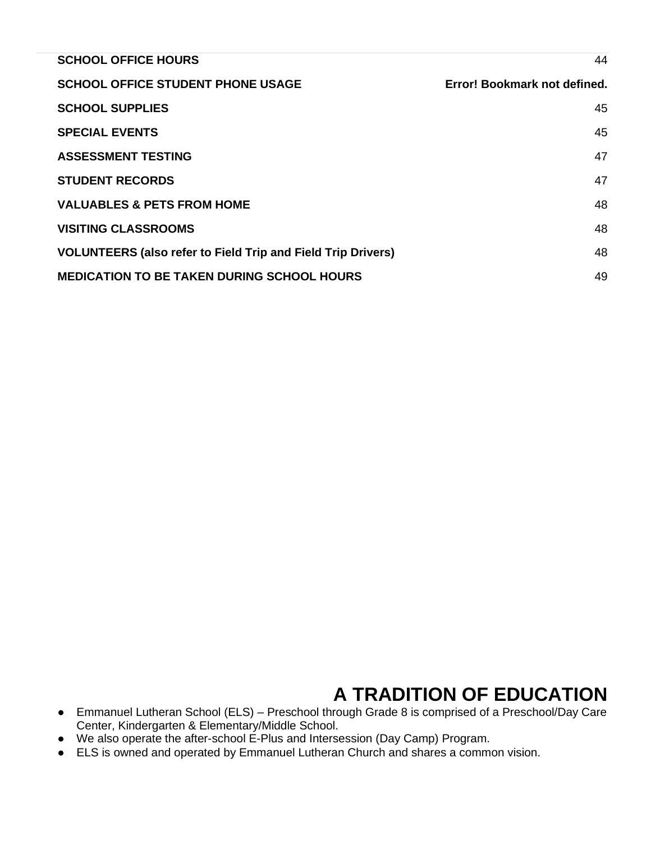| <b>SCHOOL OFFICE HOURS</b>                                          | 44                           |
|---------------------------------------------------------------------|------------------------------|
| <b>SCHOOL OFFICE STUDENT PHONE USAGE</b>                            | Error! Bookmark not defined. |
| <b>SCHOOL SUPPLIES</b>                                              | 45                           |
| <b>SPECIAL EVENTS</b>                                               | 45                           |
| <b>ASSESSMENT TESTING</b>                                           | 47                           |
| <b>STUDENT RECORDS</b>                                              | 47                           |
| <b>VALUABLES &amp; PETS FROM HOME</b>                               | 48                           |
| <b>VISITING CLASSROOMS</b>                                          | 48                           |
| <b>VOLUNTEERS (also refer to Field Trip and Field Trip Drivers)</b> | 48                           |
| <b>MEDICATION TO BE TAKEN DURING SCHOOL HOURS</b>                   | 49                           |

# **A TRADITION OF EDUCATION**

- <span id="page-4-0"></span>● Emmanuel Lutheran School (ELS) – Preschool through Grade 8 is comprised of a Preschool/Day Care Center, Kindergarten & Elementary/Middle School.
- We also operate the after-school E-Plus and Intersession (Day Camp) Program.
- ELS is owned and operated by Emmanuel Lutheran Church and shares a common vision.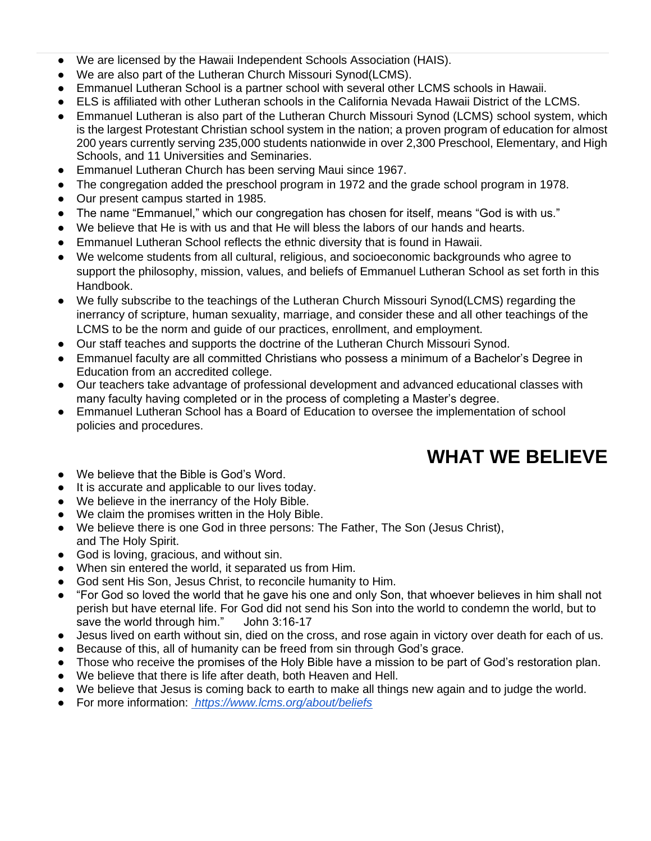- We are licensed by the Hawaii Independent Schools Association (HAIS).
- We are also part of the Lutheran Church Missouri Synod(LCMS).
- Emmanuel Lutheran School is a partner school with several other LCMS schools in Hawaii.
- ELS is affiliated with other Lutheran schools in the California Nevada Hawaii District of the LCMS.
- Emmanuel Lutheran is also part of the Lutheran Church Missouri Synod (LCMS) school system, which is the largest Protestant Christian school system in the nation; a proven program of education for almost 200 years currently serving 235,000 students nationwide in over 2,300 Preschool, Elementary, and High Schools, and 11 Universities and Seminaries.
- Emmanuel Lutheran Church has been serving Maui since 1967.
- The congregation added the preschool program in 1972 and the grade school program in 1978.
- Our present campus started in 1985.
- The name "Emmanuel," which our congregation has chosen for itself, means "God is with us."
- We believe that He is with us and that He will bless the labors of our hands and hearts.
- Emmanuel Lutheran School reflects the ethnic diversity that is found in Hawaii.
- We welcome students from all cultural, religious, and socioeconomic backgrounds who agree to support the philosophy, mission, values, and beliefs of Emmanuel Lutheran School as set forth in this Handbook.
- We fully subscribe to the teachings of the Lutheran Church Missouri Synod(LCMS) regarding the inerrancy of scripture, human sexuality, marriage, and consider these and all other teachings of the LCMS to be the norm and guide of our practices, enrollment, and employment.
- Our staff teaches and supports the doctrine of the Lutheran Church Missouri Synod.
- Emmanuel faculty are all committed Christians who possess a minimum of a Bachelor's Degree in Education from an accredited college.
- Our teachers take advantage of professional development and advanced educational classes with many faculty having completed or in the process of completing a Master's degree.
- Emmanuel Lutheran School has a Board of Education to oversee the implementation of school policies and procedures.

# **WHAT WE BELIEVE**

- <span id="page-5-0"></span>We believe that the Bible is God's Word.
- It is accurate and applicable to our lives today.
- We believe in the inerrancy of the Holy Bible.
- We claim the promises written in the Holy Bible.
- We believe there is one God in three persons: The Father, The Son (Jesus Christ), and The Holy Spirit.
- God is loving, gracious, and without sin.
- When sin entered the world, it separated us from Him.
- God sent His Son, Jesus Christ, to reconcile humanity to Him.
- "For God so loved the world that he gave his one and only Son, that whoever believes in him shall not perish but have eternal life. For God did not send his Son into the world to condemn the world, but to save the world through him." John 3:16-17
- Jesus lived on earth without sin, died on the cross, and rose again in victory over death for each of us.
- Because of this, all of humanity can be freed from sin through God's grace.
- Those who receive the promises of the Holy Bible have a mission to be part of God's restoration plan.
- We believe that there is life after death, both Heaven and Hell.
- We believe that Jesus is coming back to earth to make all things new again and to judge the world.
- For more information: *<https://www.lcms.org/about/beliefs>*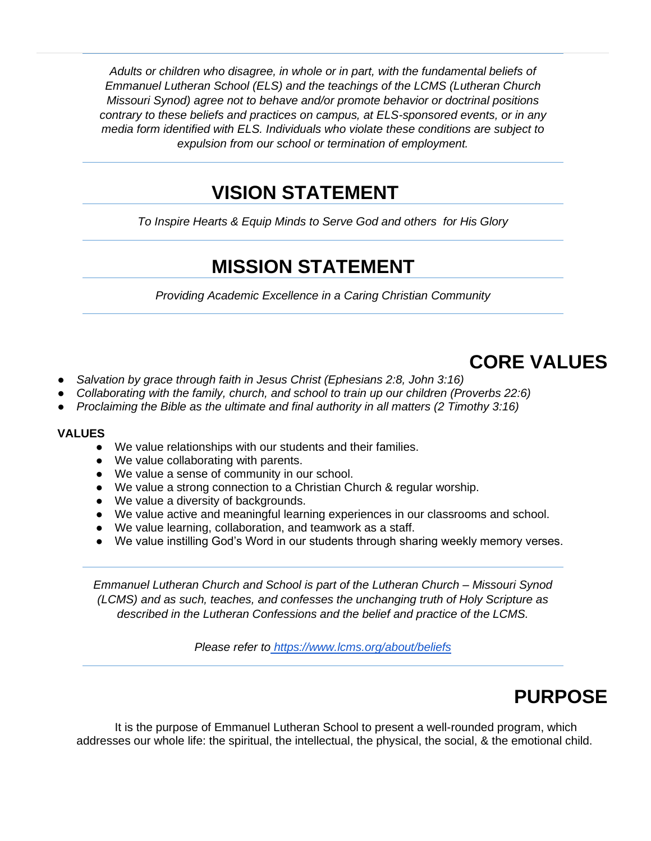*Adults or children who disagree, in whole or in part, with the fundamental beliefs of Emmanuel Lutheran School (ELS) and the teachings of the LCMS (Lutheran Church Missouri Synod) agree not to behave and/or promote behavior or doctrinal positions contrary to these beliefs and practices on campus, at ELS-sponsored events, or in any media form identified with ELS. Individuals who violate these conditions are subject to expulsion from our school or termination of employment.*

### **VISION STATEMENT**

<span id="page-6-1"></span><span id="page-6-0"></span>*To Inspire Hearts & Equip Minds to Serve God and others for His Glory*

# **MISSION STATEMENT**

*Providing Academic Excellence in a Caring Christian Community* 

# **CORE VALUES**

- <span id="page-6-2"></span>Salvation by grace through faith in Jesus Christ (Ephesians 2:8, John 3:16)
- *Collaborating with the family, church, and school to train up our children (Proverbs 22:6)*
- Proclaiming the Bible as the ultimate and final authority in all matters (2 Timothy 3:16)

#### **VALUES**

- We value relationships with our students and their families.
- We value collaborating with parents.
- We value a sense of community in our school.
- We value a strong connection to a Christian Church & regular worship.
- We value a diversity of backgrounds.
- We value active and meaningful learning experiences in our classrooms and school.
- We value learning, collaboration, and teamwork as a staff.
- We value instilling God's Word in our students through sharing weekly memory verses.

*Emmanuel Lutheran Church and School is part of the Lutheran Church – Missouri Synod (LCMS) and as such, teaches, and confesses the unchanging truth of Holy Scripture as described in the Lutheran Confessions and the belief and practice of the LCMS.* 

*Please refer t[o](https://www.lcms.org/about/beliefs) <https://www.lcms.org/about/beliefs>*

# **PURPOSE**

<span id="page-6-3"></span>It is the purpose of Emmanuel Lutheran School to present a well-rounded program, which addresses our whole life: the spiritual, the intellectual, the physical, the social, & the emotional child.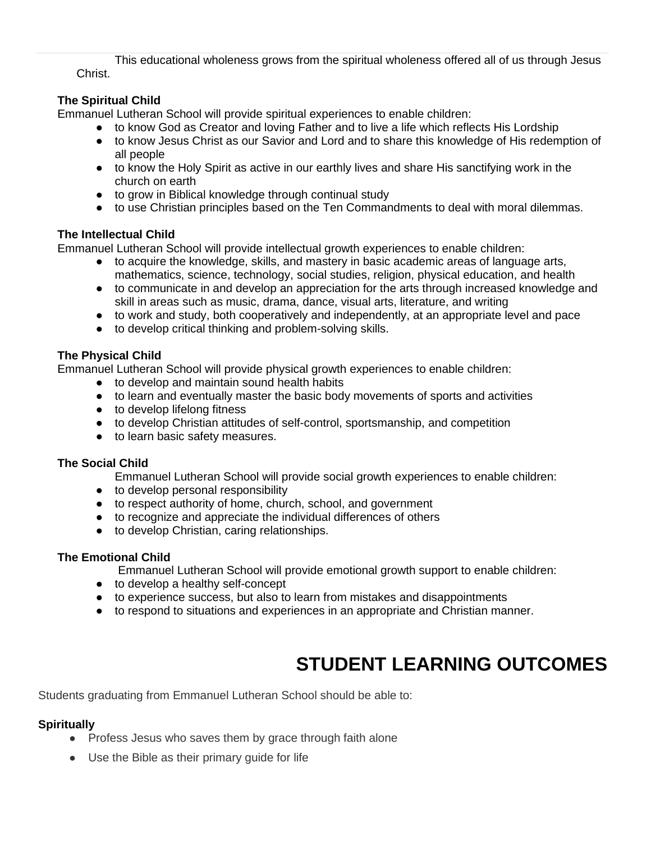This educational wholeness grows from the spiritual wholeness offered all of us through Jesus Christ.

### **The Spiritual Child**

Emmanuel Lutheran School will provide spiritual experiences to enable children:

- to know God as Creator and loving Father and to live a life which reflects His Lordship
- to know Jesus Christ as our Savior and Lord and to share this knowledge of His redemption of all people
- to know the Holy Spirit as active in our earthly lives and share His sanctifying work in the church on earth
- to grow in Biblical knowledge through continual study
- to use Christian principles based on the Ten Commandments to deal with moral dilemmas.

#### **The Intellectual Child**

Emmanuel Lutheran School will provide intellectual growth experiences to enable children:

- to acquire the knowledge, skills, and mastery in basic academic areas of language arts, mathematics, science, technology, social studies, religion, physical education, and health
- to communicate in and develop an appreciation for the arts through increased knowledge and skill in areas such as music, drama, dance, visual arts, literature, and writing
- to work and study, both cooperatively and independently, at an appropriate level and pace
- to develop critical thinking and problem-solving skills.

#### **The Physical Child**

Emmanuel Lutheran School will provide physical growth experiences to enable children:

- to develop and maintain sound health habits
- to learn and eventually master the basic body movements of sports and activities
- to develop lifelong fitness
- to develop Christian attitudes of self-control, sportsmanship, and competition
- to learn basic safety measures.

#### **The Social Child**

- Emmanuel Lutheran School will provide social growth experiences to enable children:
- to develop personal responsibility
- to respect authority of home, church, school, and government
- to recognize and appreciate the individual differences of others
- to develop Christian, caring relationships.

#### **The Emotional Child**

Emmanuel Lutheran School will provide emotional growth support to enable children:

- to develop a healthy self-concept
- to experience success, but also to learn from mistakes and disappointments
- to respond to situations and experiences in an appropriate and Christian manner.

# **STUDENT LEARNING OUTCOMES**

<span id="page-7-0"></span>Students graduating from Emmanuel Lutheran School should be able to:

#### **Spiritually**

- Profess Jesus who saves them by grace through faith alone
- Use the Bible as their primary guide for life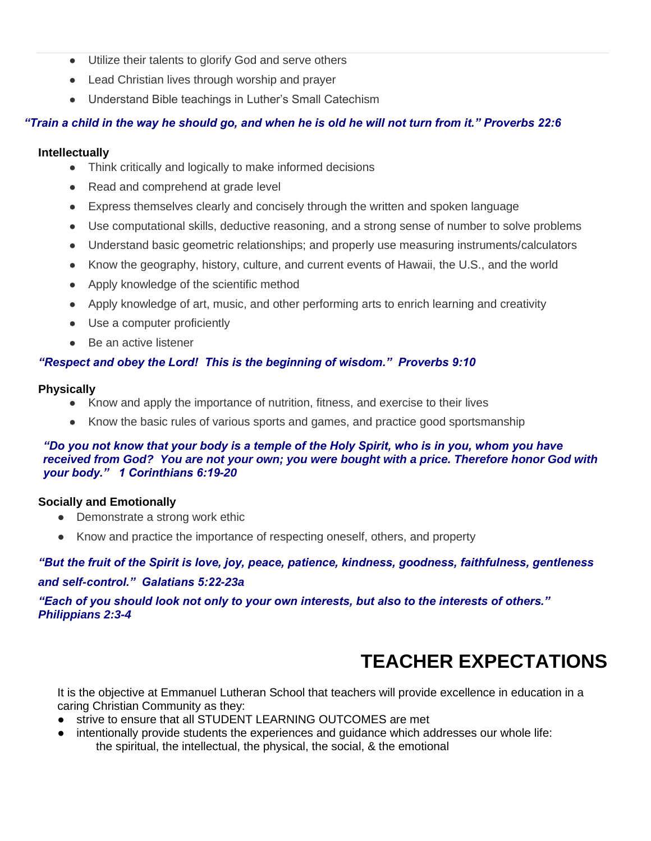- Utilize their talents to glorify God and serve others
- Lead Christian lives through worship and prayer
- Understand Bible teachings in Luther's Small Catechism

### *"Train a child in the way he should go, and when he is old he will not turn from it." Proverbs 22:6*

#### **Intellectually**

- Think critically and logically to make informed decisions
- Read and comprehend at grade level
- Express themselves clearly and concisely through the written and spoken language
- Use computational skills, deductive reasoning, and a strong sense of number to solve problems
- Understand basic geometric relationships; and properly use measuring instruments/calculators
- Know the geography, history, culture, and current events of Hawaii, the U.S., and the world
- Apply knowledge of the scientific method
- Apply knowledge of art, music, and other performing arts to enrich learning and creativity
- Use a computer proficiently
- Be an active listener

#### *"Respect and obey the Lord! This is the beginning of wisdom." Proverbs 9:10*

#### **Physically**

- Know and apply the importance of nutrition, fitness, and exercise to their lives
- Know the basic rules of various sports and games, and practice good sportsmanship

#### *"Do you not know that your body is a temple of the Holy Spirit, who is in you, whom you have received from God? You are not your own; you were bought with a price. Therefore honor God with your body." 1 Corinthians 6:19-20*

#### **Socially and Emotionally**

- Demonstrate a strong work ethic
- Know and practice the importance of respecting oneself, others, and property

### *"But the fruit of the Spirit is love, joy, peace, patience, kindness, goodness, faithfulness, gentleness and self-control." Galatians 5:22-23a*

*"Each of you should look not only to your own interests, but also to the interests of others." Philippians 2:3-4*

# **TEACHER EXPECTATIONS**

<span id="page-8-0"></span>It is the objective at Emmanuel Lutheran School that teachers will provide excellence in education in a caring Christian Community as they:

- strive to ensure that all STUDENT LEARNING OUTCOMES are met
- intentionally provide students the experiences and quidance which addresses our whole life: the spiritual, the intellectual, the physical, the social, & the emotional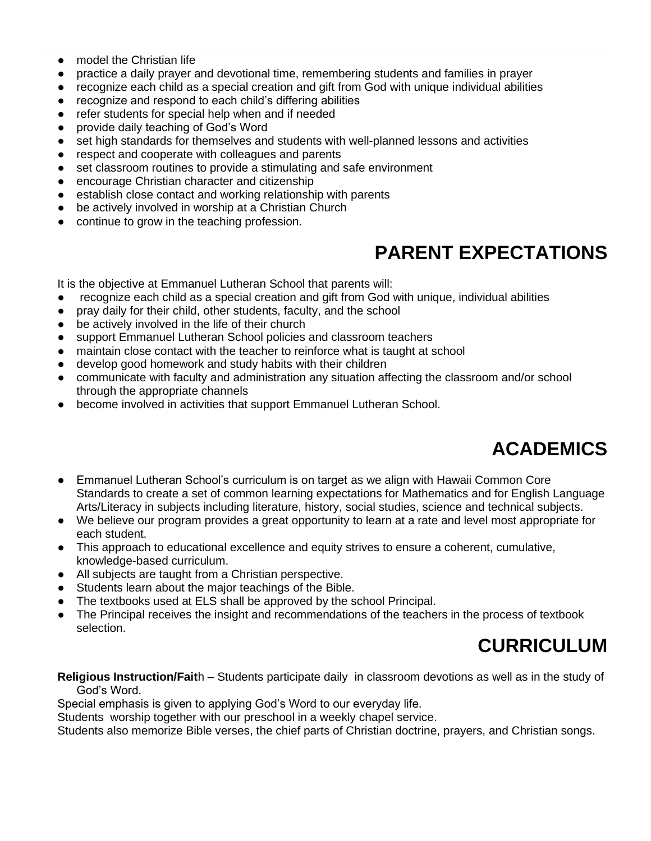- model the Christian life
- practice a daily prayer and devotional time, remembering students and families in prayer
- recognize each child as a special creation and gift from God with unique individual abilities
- recognize and respond to each child's differing abilities
- refer students for special help when and if needed
- provide daily teaching of God's Word
- set high standards for themselves and students with well-planned lessons and activities
- respect and cooperate with colleagues and parents
- set classroom routines to provide a stimulating and safe environment
- encourage Christian character and citizenship
- establish close contact and working relationship with parents
- be actively involved in worship at a Christian Church
- <span id="page-9-0"></span>continue to grow in the teaching profession.

# **PARENT EXPECTATIONS**

It is the objective at Emmanuel Lutheran School that parents will:

- recognize each child as a special creation and gift from God with unique, individual abilities
- pray daily for their child, other students, faculty, and the school
- be actively involved in the life of their church
- support Emmanuel Lutheran School policies and classroom teachers
- maintain close contact with the teacher to reinforce what is taught at school
- develop good homework and study habits with their children
- communicate with faculty and administration any situation affecting the classroom and/or school through the appropriate channels
- become involved in activities that support Emmanuel Lutheran School.

# **ACADEMICS**

- <span id="page-9-1"></span>● Emmanuel Lutheran School's curriculum is on target as we align with Hawaii Common Core Standards to create a set of common learning expectations for Mathematics and for English Language Arts/Literacy in subjects including literature, history, social studies, science and technical subjects.
- We believe our program provides a great opportunity to learn at a rate and level most appropriate for each student.
- This approach to educational excellence and equity strives to ensure a coherent, cumulative, knowledge-based curriculum.
- All subjects are taught from a Christian perspective.
- Students learn about the major teachings of the Bible.
- The textbooks used at ELS shall be approved by the school Principal.
- <span id="page-9-2"></span>• The Principal receives the insight and recommendations of the teachers in the process of textbook selection.

# **CURRICULUM**

#### **Religious Instruction/Fait**h – Students participate daily in classroom devotions as well as in the study of God's Word.

Special emphasis is given to applying God's Word to our everyday life.

Students worship together with our preschool in a weekly chapel service.

Students also memorize Bible verses, the chief parts of Christian doctrine, prayers, and Christian songs.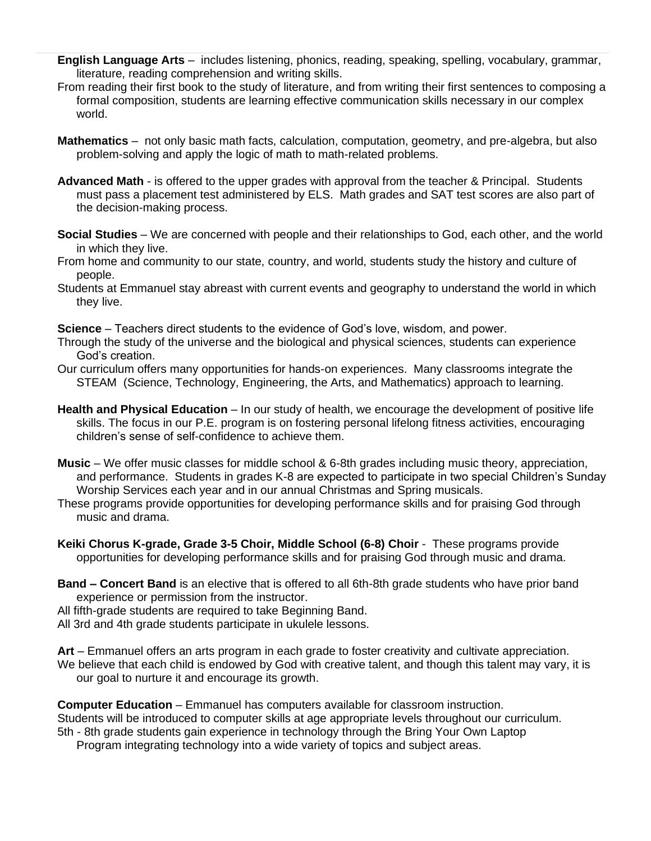- **English Language Arts** includes listening, phonics, reading, speaking, spelling, vocabulary, grammar, literature, reading comprehension and writing skills.
- From reading their first book to the study of literature, and from writing their first sentences to composing a formal composition, students are learning effective communication skills necessary in our complex world.
- **Mathematics** not only basic math facts, calculation, computation, geometry, and pre-algebra, but also problem-solving and apply the logic of math to math-related problems.
- **Advanced Math** is offered to the upper grades with approval from the teacher & Principal. Students must pass a placement test administered by ELS. Math grades and SAT test scores are also part of the decision-making process.
- **Social Studies** We are concerned with people and their relationships to God, each other, and the world in which they live.
- From home and community to our state, country, and world, students study the history and culture of people.
- Students at Emmanuel stay abreast with current events and geography to understand the world in which they live.

**Science** – Teachers direct students to the evidence of God's love, wisdom, and power.

- Through the study of the universe and the biological and physical sciences, students can experience God's creation.
- Our curriculum offers many opportunities for hands-on experiences. Many classrooms integrate the STEAM (Science, Technology, Engineering, the Arts, and Mathematics) approach to learning.
- **Health and Physical Education** In our study of health, we encourage the development of positive life skills. The focus in our P.E. program is on fostering personal lifelong fitness activities, encouraging children's sense of self-confidence to achieve them.
- **Music** We offer music classes for middle school & 6-8th grades including music theory, appreciation, and performance. Students in grades K-8 are expected to participate in two special Children's Sunday Worship Services each year and in our annual Christmas and Spring musicals.
- These programs provide opportunities for developing performance skills and for praising God through music and drama.
- **Keiki Chorus K-grade, Grade 3-5 Choir, Middle School (6-8) Choir** These programs provide opportunities for developing performance skills and for praising God through music and drama.
- **Band – Concert Band** is an elective that is offered to all 6th-8th grade students who have prior band experience or permission from the instructor.
- All fifth-grade students are required to take Beginning Band.
- All 3rd and 4th grade students participate in ukulele lessons.

**Art** – Emmanuel offers an arts program in each grade to foster creativity and cultivate appreciation. We believe that each child is endowed by God with creative talent, and though this talent may vary, it is our goal to nurture it and encourage its growth.

**Computer Education** – Emmanuel has computers available for classroom instruction. Students will be introduced to computer skills at age appropriate levels throughout our curriculum. 5th - 8th grade students gain experience in technology through the Bring Your Own Laptop

Program integrating technology into a wide variety of topics and subject areas.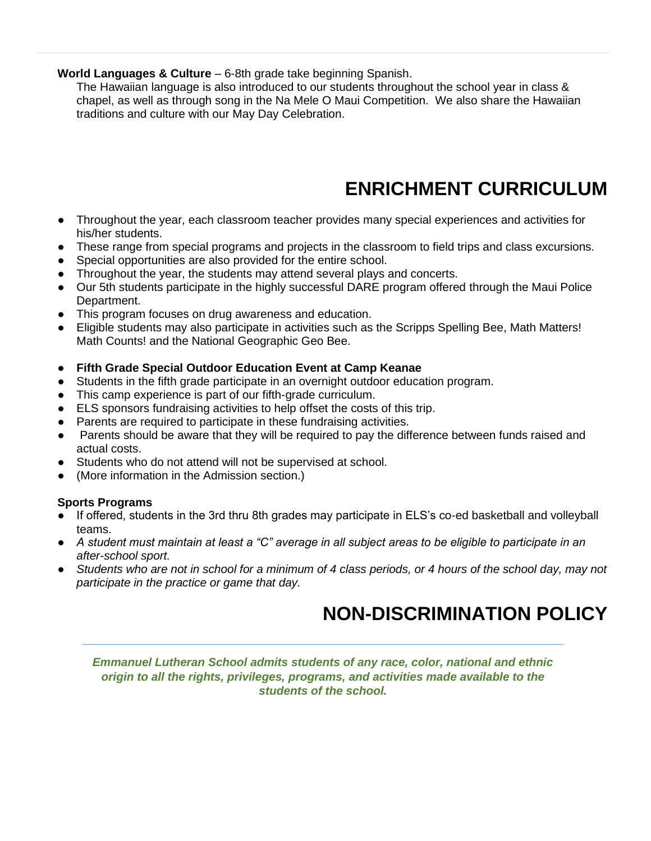#### **World Languages & Culture** – 6-8th grade take beginning Spanish.

The Hawaiian language is also introduced to our students throughout the school year in class & chapel, as well as through song in the Na Mele O Maui Competition. We also share the Hawaiian traditions and culture with our May Day Celebration.

# **ENRICHMENT CURRICULUM**

- <span id="page-11-0"></span>● Throughout the year, each classroom teacher provides many special experiences and activities for his/her students.
- These range from special programs and projects in the classroom to field trips and class excursions.
- Special opportunities are also provided for the entire school.
- Throughout the year, the students may attend several plays and concerts.
- Our 5th students participate in the highly successful DARE program offered through the Maui Police Department.
- This program focuses on drug awareness and education.
- Eligible students may also participate in activities such as the Scripps Spelling Bee, Math Matters! Math Counts! and the National Geographic Geo Bee.
- **Fifth Grade Special Outdoor Education Event at Camp Keanae**
- Students in the fifth grade participate in an overnight outdoor education program.
- This camp experience is part of our fifth-grade curriculum.
- ELS sponsors fundraising activities to help offset the costs of this trip.
- Parents are required to participate in these fundraising activities.
- Parents should be aware that they will be required to pay the difference between funds raised and actual costs.
- Students who do not attend will not be supervised at school.
- (More information in the Admission section.)

### **Sports Programs**

- If offered, students in the 3rd thru 8th grades may participate in ELS's co-ed basketball and volleyball teams.
- *A student must maintain at least a "C" average in all subject areas to be eligible to participate in an after-school sport.*
- <span id="page-11-1"></span>● *Students who are not in school for a minimum of 4 class periods, or 4 hours of the school day, may not participate in the practice or game that day.*

# **NON-DISCRIMINATION POLICY**

*Emmanuel Lutheran School admits students of any race, color, national and ethnic origin to all the rights, privileges, programs, and activities made available to the students of the school.*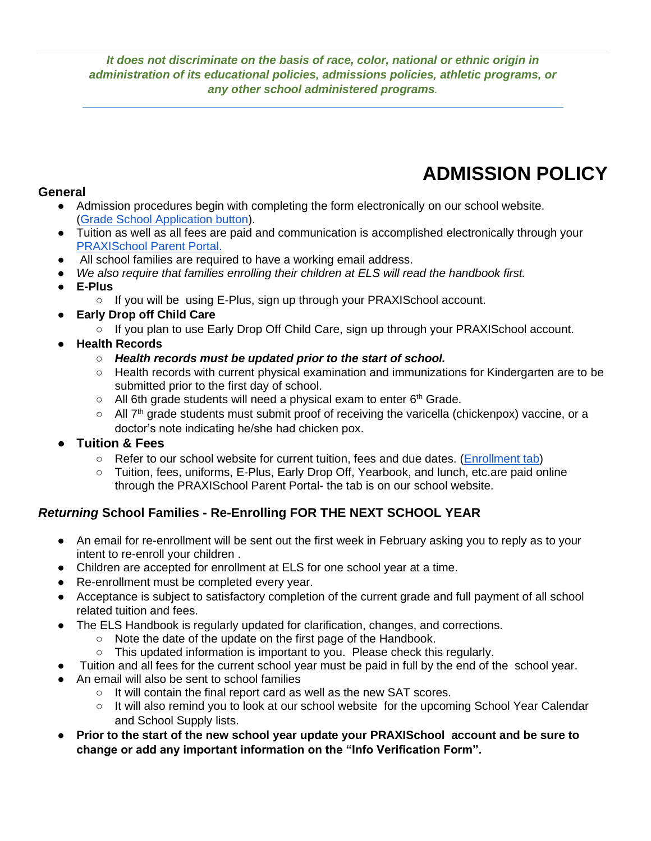*It does not discriminate on the basis of race, color, national or ethnic origin in administration of its educational policies, admissions policies, athletic programs, or any other school administered programs.*

# **ADMISSION POLICY**

### <span id="page-12-0"></span>**General**

- Admission procedures begin with completing the form electronically on our school website. [\(Grade School Application button\)](https://app.praxischool.com/ext_createOnlineForm.php?p=6334&i=1006).
- Tuition as well as all fees are paid and communication is accomplished electronically through your [PRAXISchool Parent Portal.](https://app.praxischool.com/parent_login.php)
- All school families are required to have a working email address.
- *We also require that families enrolling their children at ELS will read the handbook first.*
- **E-Plus**
	- If you will be using E-Plus, sign up through your PRAXISchool account.
- **Early Drop off Child Care** 
	- If you plan to use Early Drop Off Child Care, sign up through your PRAXISchool account.
- **Health Records** 
	- *Health records must be updated prior to the start of school.*
	- Health records with current physical examination and immunizations for Kindergarten are to be submitted prior to the first day of school.
	- $\circ$  All 6th grade students will need a physical exam to enter 6<sup>th</sup> Grade.
	- $\circ$  All  $7<sup>th</sup>$  grade students must submit proof of receiving the varicella (chickenpox) vaccine, or a doctor's note indicating he/she had chicken pox.
- **Tuition & Fees**
	- Refer to our school website for current tuition, fees and due dates. [\(Enrollment tab\)](http://www.els-maui.org/tuition)
	- Tuition, fees, uniforms, E-Plus, Early Drop Off, Yearbook, and lunch, etc.are paid online through the PRAXISchool Parent Portal- the tab is on our school website.

### *Returning* **School Families - Re-Enrolling FOR THE NEXT SCHOOL YEAR**

- An email for re-enrollment will be sent out the first week in February asking you to reply as to your intent to re-enroll your children .
- Children are accepted for enrollment at ELS for one school year at a time.
- Re-enrollment must be completed every year.
- Acceptance is subject to satisfactory completion of the current grade and full payment of all school related tuition and fees.
- The ELS Handbook is regularly updated for clarification, changes, and corrections.
	- Note the date of the update on the first page of the Handbook.
	- $\circ$  This updated information is important to you. Please check this regularly.
- Tuition and all fees for the current school year must be paid in full by the end of the school year.
- An email will also be sent to school families
	- It will contain the final report card as well as the new SAT scores.
	- It will also remind you to look at our school website for the upcoming School Year Calendar and School Supply lists.
- Prior to the start of the new school year update your PRAXISchool account and be sure to **change or add any important information on the "Info Verification Form".**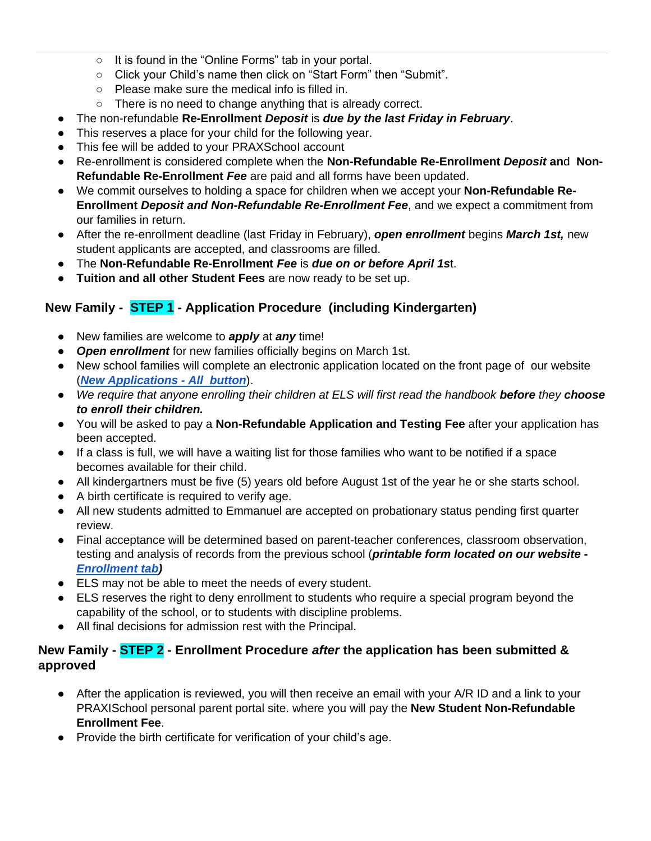- It is found in the "Online Forms" tab in your portal.
- Click your Child's name then click on "Start Form" then "Submit".
- Please make sure the medical info is filled in.
- There is no need to change anything that is already correct.
- The non-refundable **Re-Enrollment** *Deposit* is *due by the last Friday in February*.
- This reserves a place for your child for the following year.
- This fee will be added to your PRAXSchooI account
- Re-enrollment is considered complete when the **Non-Refundable Re-Enrollment** *Deposit* **an**d **Non-Refundable Re-Enrollment** *Fee* are paid and all forms have been updated.
- We commit ourselves to holding a space for children when we accept your **Non-Refundable Re-Enrollment** *Deposit and Non-Refundable Re-Enrollment Fee*, and we expect a commitment from our families in return.
- After the re-enrollment deadline (last Friday in February), *open enrollment* begins *March 1st,* new student applicants are accepted, and classrooms are filled.
- The **Non-Refundable Re-Enrollment** *Fee* is *due on or before April 1s*t.
- **Tuition and all other Student Fees** are now ready to be set up.

### **New Family - STEP 1 - Application Procedure (including Kindergarten)**

- New families are welcome to *apply* at *any* time!
- *Open enrollment* for new families officially begins on March 1st.
- New school families will complete an electronic application located on the front page of our website (*[New Applications -](https://app.praxischool.com/site_login.php?s=6334) All button*).
- *We require that anyone enrolling their children at ELS will first read the handbook before they choose to enroll their children.*
- You will be asked to pay a **Non-Refundable Application and Testing Fee** after your application has been accepted.
- If a class is full, we will have a waiting list for those families who want to be notified if a space becomes available for their child.
- All kindergartners must be five (5) years old before August 1st of the year he or she starts school.
- A birth certificate is required to verify age.
- All new students admitted to Emmanuel are accepted on probationary status pending first quarter review.
- Final acceptance will be determined based on parent-teacher conferences, classroom observation, testing and analysis of records from the previous school (*printable form located on our website - [Enrollment tab\)](https://docs.wixstatic.com/ugd/8f0235_83b380de81aa4506be863ec7bab0dd92.pdf)*
- ELS may not be able to meet the needs of every student.
- ELS reserves the right to deny enrollment to students who require a special program beyond the capability of the school, or to students with discipline problems.
- All final decisions for admission rest with the Principal.

### **New Family - STEP 2 - Enrollment Procedure** *after* **the application has been submitted & approved**

- After the application is reviewed, you will then receive an email with your A/R ID and a link to your PRAXISchool personal parent portal site. where you will pay the **New Student Non-Refundable Enrollment Fee**.
- Provide the birth certificate for verification of your child's age.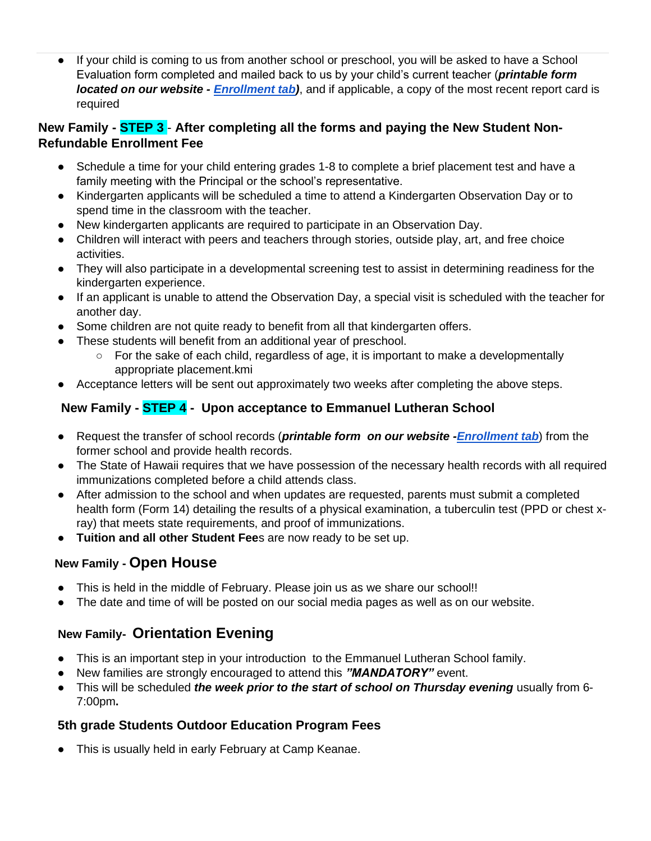● If your child is coming to us from another school or preschool, you will be asked to have a School Evaluation form completed and mailed back to us by your child's current teacher (*printable form located on our website - [Enrollment tab\)](https://docs.wixstatic.com/ugd/8f0235_83b380de81aa4506be863ec7bab0dd92.pdf)*, and if applicable, a copy of the most recent report card is required

### **New Family - STEP 3** - **After completing all the forms and paying the New Student Non-Refundable Enrollment Fee**

- Schedule a time for your child entering grades 1-8 to complete a brief placement test and have a family meeting with the Principal or the school's representative.
- Kindergarten applicants will be scheduled a time to attend a Kindergarten Observation Day or to spend time in the classroom with the teacher.
- New kindergarten applicants are required to participate in an Observation Day.
- Children will interact with peers and teachers through stories, outside play, art, and free choice activities.
- They will also participate in a developmental screening test to assist in determining readiness for the kindergarten experience.
- If an applicant is unable to attend the Observation Day, a special visit is scheduled with the teacher for another day.
- Some children are not quite ready to benefit from all that kindergarten offers.
- These students will benefit from an additional year of preschool.
	- $\circ$  For the sake of each child, regardless of age, it is important to make a developmentally appropriate placement.kmi
- Acceptance letters will be sent out approximately two weeks after completing the above steps.

### **New Family - STEP 4 - Upon acceptance to Emmanuel Lutheran School**

- Request the transfer of school records (*printable form on our website [-Enrollment tab](http://www.els-maui.org/tuition)*) from the former school and provide health records.
- The State of Hawaii requires that we have possession of the necessary health records with all required immunizations completed before a child attends class.
- After admission to the school and when updates are requested, parents must submit a completed health form (Form 14) detailing the results of a physical examination, a tuberculin test (PPD or chest xray) that meets state requirements, and proof of immunizations.
- **Tuition and all other Student Fee**s are now ready to be set up.

### **New Family - Open House**

- This is held in the middle of February. Please join us as we share our school!!
- The date and time of will be posted on our social media pages as well as on our website.

### **New Family- Orientation Evening**

- This is an important step in your introduction to the Emmanuel Lutheran School family.
- New families are strongly encouraged to attend this "MANDATORY" event.
- This will be scheduled *the week prior to the start of school on Thursday evening* usually from 6-7:00pm**.**

### **5th grade Students Outdoor Education Program Fees**

● This is usually held in early February at Camp Keanae.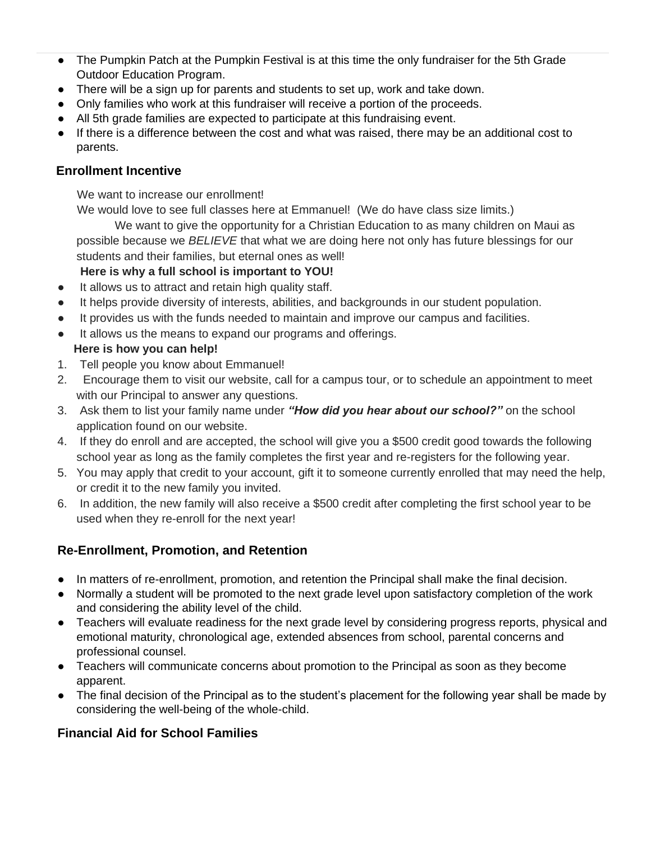- The Pumpkin Patch at the Pumpkin Festival is at this time the only fundraiser for the 5th Grade Outdoor Education Program.
- There will be a sign up for parents and students to set up, work and take down.
- Only families who work at this fundraiser will receive a portion of the proceeds.
- All 5th grade families are expected to participate at this fundraising event.

● If there is a difference between the cost and what was raised, there may be an additional cost to parents.

### **Enrollment Incentive**

We want to increase our enrollment!

We would love to see full classes here at Emmanuel! (We do have class size limits.)

We want to give the opportunity for a Christian Education to as many children on Maui as possible because we *BELIEVE* that what we are doing here not only has future blessings for our students and their families, but eternal ones as well!

### **Here is why a full school is important to YOU!**

- It allows us to attract and retain high quality staff.
- It helps provide diversity of interests, abilities, and backgrounds in our student population.
- It provides us with the funds needed to maintain and improve our campus and facilities.
- It allows us the means to expand our programs and offerings.  **Here is how you can help!**
- 1. Tell people you know about Emmanuel!
- 2. Encourage them to visit our website, call for a campus tour, or to schedule an appointment to meet with our Principal to answer any questions.
- 3. Ask them to list your family name under *"How did you hear about our school?"* on the school application found on our website.
- 4. If they do enroll and are accepted, the school will give you a \$500 credit good towards the following school year as long as the family completes the first year and re-registers for the following year.
- 5. You may apply that credit to your account, gift it to someone currently enrolled that may need the help, or credit it to the new family you invited.
- 6. In addition, the new family will also receive a \$500 credit after completing the first school year to be used when they re-enroll for the next year!

### **Re-Enrollment, Promotion, and Retention**

- In matters of re-enrollment, promotion, and retention the Principal shall make the final decision.
- Normally a student will be promoted to the next grade level upon satisfactory completion of the work and considering the ability level of the child.
- Teachers will evaluate readiness for the next grade level by considering progress reports, physical and emotional maturity, chronological age, extended absences from school, parental concerns and professional counsel.
- Teachers will communicate concerns about promotion to the Principal as soon as they become apparent.
- The final decision of the Principal as to the student's placement for the following year shall be made by considering the well-being of the whole-child.

### **Financial Aid for School Families**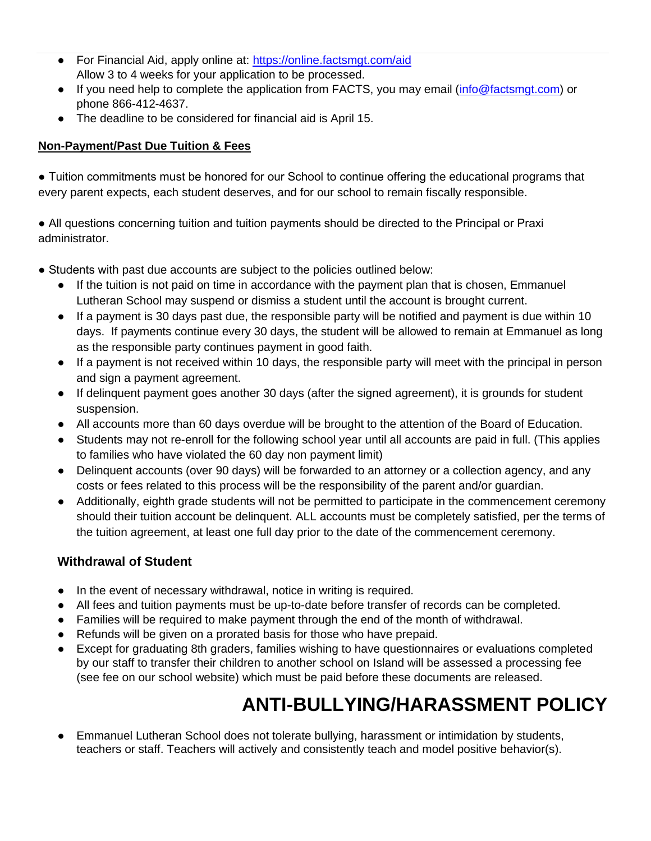- For Financial Aid, apply online at: [https://online.factsmgt.com/aid](https://factsmgt.com/parent-resources/grant-and-aid/) Allow 3 to 4 weeks for your application to be processed.
- If you need help to complete the application from FACTS, you may email [\(info@factsmgt.com\)](mailto:info@factsmgt.com) or phone 866-412-4637.
- The deadline to be considered for financial aid is April 15.

### **Non-Payment/Past Due Tuition & Fees**

● Tuition commitments must be honored for our School to continue offering the educational programs that every parent expects, each student deserves, and for our school to remain fiscally responsible.

● All questions concerning tuition and tuition payments should be directed to the Principal or Praxi administrator.

- Students with past due accounts are subject to the policies outlined below:
	- If the tuition is not paid on time in accordance with the payment plan that is chosen, Emmanuel Lutheran School may suspend or dismiss a student until the account is brought current.
	- If a payment is 30 days past due, the responsible party will be notified and payment is due within 10 days. If payments continue every 30 days, the student will be allowed to remain at Emmanuel as long as the responsible party continues payment in good faith.
	- If a payment is not received within 10 days, the responsible party will meet with the principal in person and sign a payment agreement.
	- If delinquent payment goes another 30 days (after the signed agreement), it is grounds for student suspension.
	- All accounts more than 60 days overdue will be brought to the attention of the Board of Education.
	- Students may not re-enroll for the following school year until all accounts are paid in full. (This applies to families who have violated the 60 day non payment limit)
	- Delinguent accounts (over 90 days) will be forwarded to an attorney or a collection agency, and any costs or fees related to this process will be the responsibility of the parent and/or guardian.
	- Additionally, eighth grade students will not be permitted to participate in the commencement ceremony should their tuition account be delinquent. ALL accounts must be completely satisfied, per the terms of the tuition agreement, at least one full day prior to the date of the commencement ceremony.

### **Withdrawal of Student**

- In the event of necessary withdrawal, notice in writing is required.
- All fees and tuition payments must be up-to-date before transfer of records can be completed.
- Families will be required to make payment through the end of the month of withdrawal.
- Refunds will be given on a prorated basis for those who have prepaid.
- Except for graduating 8th graders, families wishing to have questionnaires or evaluations completed by our staff to transfer their children to another school on Island will be assessed a processing fee (see fee on our school website) which must be paid before these documents are released.

# **ANTI-BULLYING/HARASSMENT POLICY**

<span id="page-16-0"></span>Emmanuel Lutheran School does not tolerate bullying, harassment or intimidation by students, teachers or staff. Teachers will actively and consistently teach and model positive behavior(s).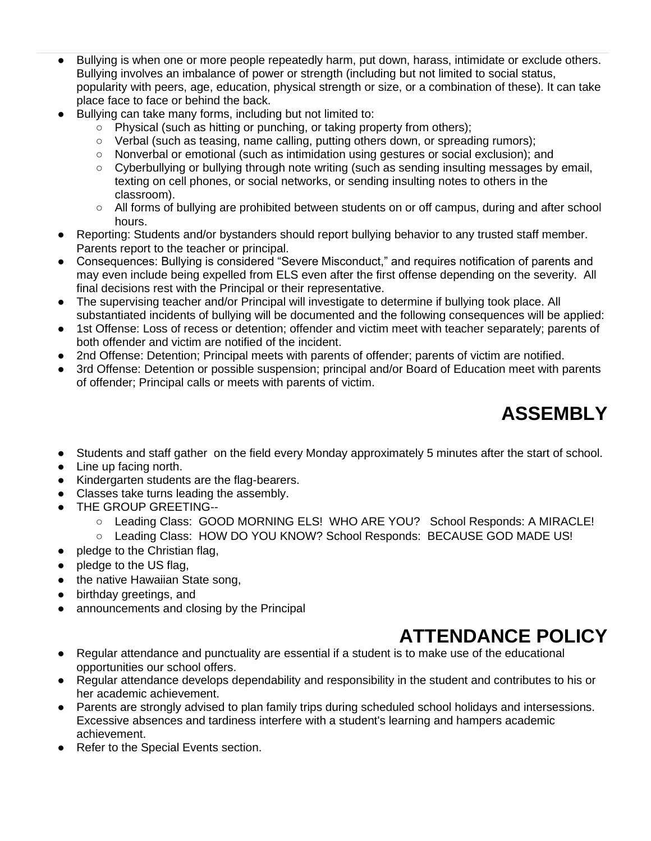- Bullying is when one or more people repeatedly harm, put down, harass, intimidate or exclude others. Bullying involves an imbalance of power or strength (including but not limited to social status, popularity with peers, age, education, physical strength or size, or a combination of these). It can take place face to face or behind the back.
- Bullying can take many forms, including but not limited to:
	- Physical (such as hitting or punching, or taking property from others);
	- Verbal (such as teasing, name calling, putting others down, or spreading rumors);
	- Nonverbal or emotional (such as intimidation using gestures or social exclusion); and
	- Cyberbullying or bullying through note writing (such as sending insulting messages by email, texting on cell phones, or social networks, or sending insulting notes to others in the classroom).
	- All forms of bullying are prohibited between students on or off campus, during and after school hours.
- Reporting: Students and/or bystanders should report bullying behavior to any trusted staff member. Parents report to the teacher or principal.
- Consequences: Bullying is considered "Severe Misconduct," and requires notification of parents and may even include being expelled from ELS even after the first offense depending on the severity. All final decisions rest with the Principal or their representative.
- The supervising teacher and/or Principal will investigate to determine if bullying took place. All substantiated incidents of bullying will be documented and the following consequences will be applied:
- 1st Offense: Loss of recess or detention; offender and victim meet with teacher separately; parents of both offender and victim are notified of the incident.
- 2nd Offense: Detention; Principal meets with parents of offender; parents of victim are notified.
- <span id="page-17-0"></span>3rd Offense: Detention or possible suspension; principal and/or Board of Education meet with parents of offender; Principal calls or meets with parents of victim.

# **ASSEMBLY**

- Students and staff gather on the field every Monday approximately 5 minutes after the start of school.
- Line up facing north.
- Kindergarten students are the flag-bearers.
- Classes take turns leading the assembly.
- THE GROUP GREETING--
	- Leading Class: GOOD MORNING ELS! WHO ARE YOU? School Responds: A MIRACLE!
	- Leading Class: HOW DO YOU KNOW? School Responds: BECAUSE GOD MADE US!
- pledge to the Christian flag,
- pledge to the US flag,
- the native Hawaiian State song.
- birthday greetings, and
- announcements and closing by the Principal

# **ATTENDANCE POLICY**

- <span id="page-17-1"></span>● Regular attendance and punctuality are essential if a student is to make use of the educational opportunities our school offers.
- Regular attendance develops dependability and responsibility in the student and contributes to his or her academic achievement.
- Parents are strongly advised to plan family trips during scheduled school holidays and intersessions. Excessive absences and tardiness interfere with a student's learning and hampers academic achievement.
- Refer to the Special Events section.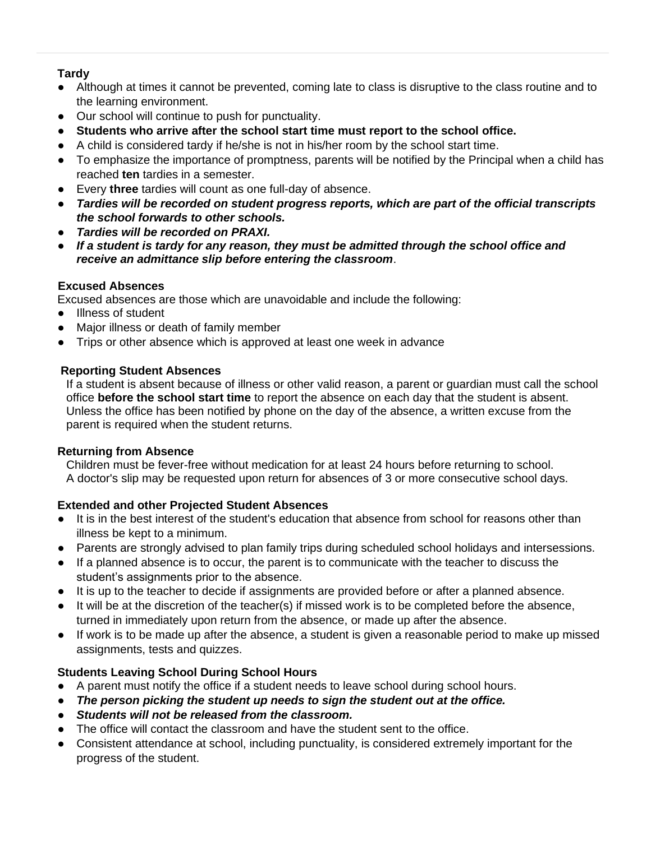### **Tardy**

- Although at times it cannot be prevented, coming late to class is disruptive to the class routine and to the learning environment.
- Our school will continue to push for punctuality.
- **Students who arrive after the school start time must report to the school office.**
- A child is considered tardy if he/she is not in his/her room by the school start time.
- To emphasize the importance of promptness, parents will be notified by the Principal when a child has reached **ten** tardies in a semester.
- Every **three** tardies will count as one full-day of absence.
- *Tardies will be recorded on student progress reports, which are part of the official transcripts the school forwards to other schools.*
- *Tardies will be recorded on PRAXI.*
- If a student is tardy for any reason, they must be admitted through the school office and *receive an admittance slip before entering the classroom*.

### **Excused Absences**

Excused absences are those which are unavoidable and include the following:

- Illness of student
- Major illness or death of family member
- Trips or other absence which is approved at least one week in advance

### **Reporting Student Absences**

If a student is absent because of illness or other valid reason, a parent or guardian must call the school office **before the school start time** to report the absence on each day that the student is absent. Unless the office has been notified by phone on the day of the absence, a written excuse from the parent is required when the student returns.

### **Returning from Absence**

Children must be fever-free without medication for at least 24 hours before returning to school. A doctor's slip may be requested upon return for absences of 3 or more consecutive school days.

### **Extended and other Projected Student Absences**

- It is in the best interest of the student's education that absence from school for reasons other than illness be kept to a minimum.
- Parents are strongly advised to plan family trips during scheduled school holidays and intersessions.
- If a planned absence is to occur, the parent is to communicate with the teacher to discuss the student's assignments prior to the absence.
- It is up to the teacher to decide if assignments are provided before or after a planned absence.
- It will be at the discretion of the teacher(s) if missed work is to be completed before the absence, turned in immediately upon return from the absence, or made up after the absence.
- If work is to be made up after the absence, a student is given a reasonable period to make up missed assignments, tests and quizzes.

### **Students Leaving School During School Hours**

- A parent must notify the office if a student needs to leave school during school hours.
- *The person picking the student up needs to sign the student out at the office.*
- *Students will not be released from the classroom.*
- The office will contact the classroom and have the student sent to the office.
- Consistent attendance at school, including punctuality, is considered extremely important for the progress of the student.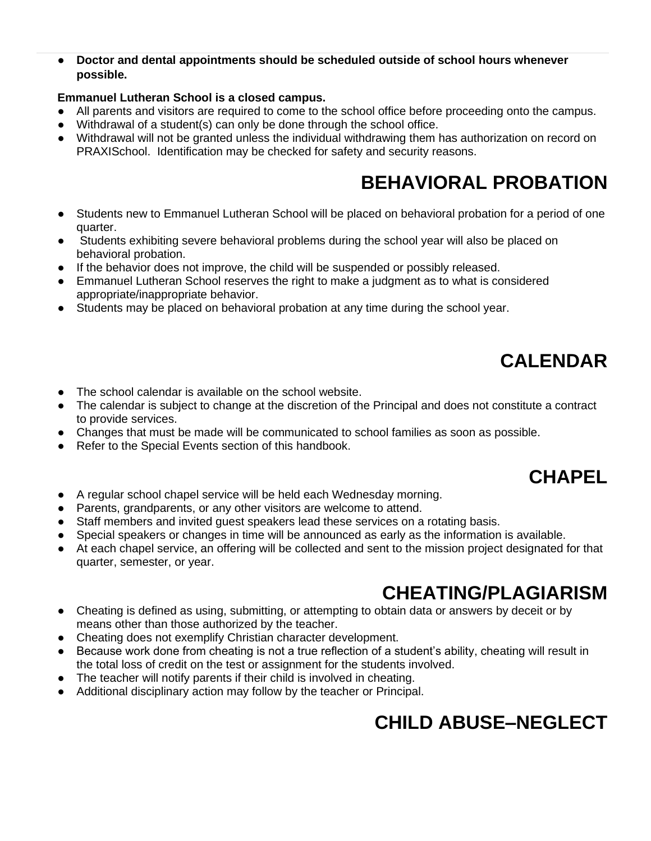● **Doctor and dental appointments should be scheduled outside of school hours whenever possible.**

#### **Emmanuel Lutheran School is a closed campus.**

- All parents and visitors are required to come to the school office before proceeding onto the campus.
- Withdrawal of a student(s) can only be done through the school office.
- Withdrawal will not be granted unless the individual withdrawing them has authorization on record on PRAXISchool. Identification may be checked for safety and security reasons.

# **BEHAVIORAL PROBATION**

- <span id="page-19-0"></span>● Students new to Emmanuel Lutheran School will be placed on behavioral probation for a period of one quarter.
- Students exhibiting severe behavioral problems during the school year will also be placed on behavioral probation.
- If the behavior does not improve, the child will be suspended or possibly released.
- Emmanuel Lutheran School reserves the right to make a judgment as to what is considered appropriate/inappropriate behavior.
- Students may be placed on behavioral probation at any time during the school year.

# **CALENDAR**

- <span id="page-19-1"></span>The school calendar is available on the school website.
- The calendar is subject to change at the discretion of the Principal and does not constitute a contract to provide services.
- Changes that must be made will be communicated to school families as soon as possible.
- Refer to the Special Events section of this handbook.

# **CHAPEL**

- <span id="page-19-2"></span>● A regular school chapel service will be held each Wednesday morning.
- Parents, grandparents, or any other visitors are welcome to attend.
- Staff members and invited guest speakers lead these services on a rotating basis.
- Special speakers or changes in time will be announced as early as the information is available.
- At each chapel service, an offering will be collected and sent to the mission project designated for that quarter, semester, or year.

# **CHEATING/PLAGIARISM**

- <span id="page-19-3"></span>● Cheating is defined as using, submitting, or attempting to obtain data or answers by deceit or by means other than those authorized by the teacher.
- Cheating does not exemplify Christian character development.
- Because work done from cheating is not a true reflection of a student's ability, cheating will result in the total loss of credit on the test or assignment for the students involved.
- The teacher will notify parents if their child is involved in cheating.
- <span id="page-19-4"></span>● Additional disciplinary action may follow by the teacher or Principal.

# **CHILD ABUSE–NEGLECT**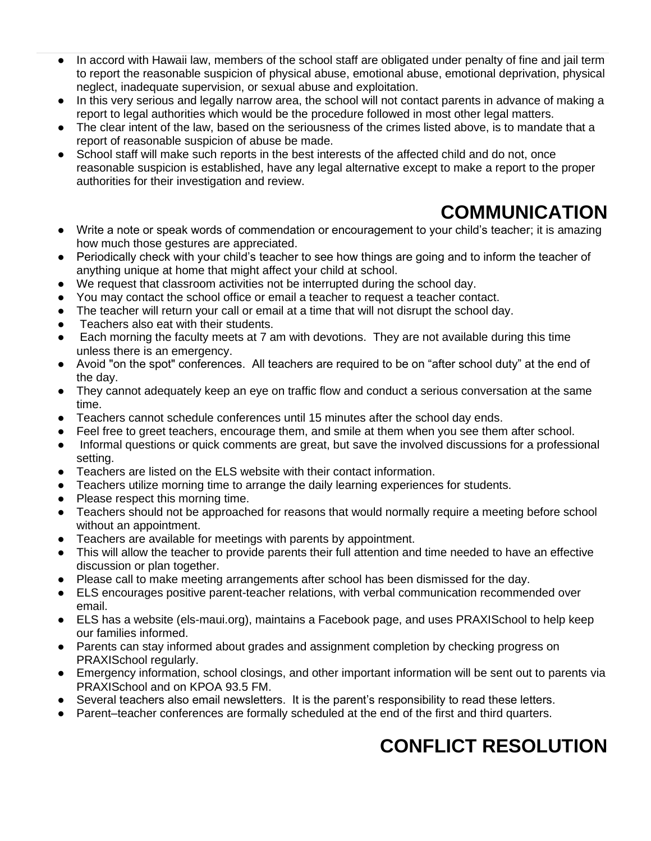- In accord with Hawaii law, members of the school staff are obligated under penalty of fine and jail term to report the reasonable suspicion of physical abuse, emotional abuse, emotional deprivation, physical neglect, inadequate supervision, or sexual abuse and exploitation.
- In this very serious and legally narrow area, the school will not contact parents in advance of making a report to legal authorities which would be the procedure followed in most other legal matters.
- The clear intent of the law, based on the seriousness of the crimes listed above, is to mandate that a report of reasonable suspicion of abuse be made.
- School staff will make such reports in the best interests of the affected child and do not, once reasonable suspicion is established, have any legal alternative except to make a report to the proper authorities for their investigation and review.

# **COMMUNICATION**

- <span id="page-20-0"></span>● Write a note or speak words of commendation or encouragement to your child's teacher; it is amazing how much those gestures are appreciated.
- Periodically check with your child's teacher to see how things are going and to inform the teacher of anything unique at home that might affect your child at school.
- We request that classroom activities not be interrupted during the school day.
- You may contact the school office or email a teacher to request a teacher contact.
- The teacher will return your call or email at a time that will not disrupt the school day.
- Teachers also eat with their students.
- Each morning the faculty meets at 7 am with devotions. They are not available during this time unless there is an emergency.
- Avoid "on the spot" conferences. All teachers are required to be on "after school duty" at the end of the day.
- They cannot adequately keep an eye on traffic flow and conduct a serious conversation at the same time.
- Teachers cannot schedule conferences until 15 minutes after the school day ends.
- Feel free to greet teachers, encourage them, and smile at them when you see them after school.
- Informal questions or quick comments are great, but save the involved discussions for a professional setting.
- Teachers are listed on the ELS website with their contact information.
- Teachers utilize morning time to arrange the daily learning experiences for students.
- Please respect this morning time.
- Teachers should not be approached for reasons that would normally require a meeting before school without an appointment.
- Teachers are available for meetings with parents by appointment.
- This will allow the teacher to provide parents their full attention and time needed to have an effective discussion or plan together.
- Please call to make meeting arrangements after school has been dismissed for the day.
- ELS encourages positive parent-teacher relations, with verbal communication recommended over email.
- ELS has a website (els-maui.org), maintains a Facebook page, and uses PRAXISchool to help keep our families informed.
- Parents can stay informed about grades and assignment completion by checking progress on PRAXISchool regularly.
- Emergency information, school closings, and other important information will be sent out to parents via PRAXISchool and on KPOA 93.5 FM.
- Several teachers also email newsletters. It is the parent's responsibility to read these letters.
- <span id="page-20-1"></span>● Parent–teacher conferences are formally scheduled at the end of the first and third quarters.

# **CONFLICT RESOLUTION**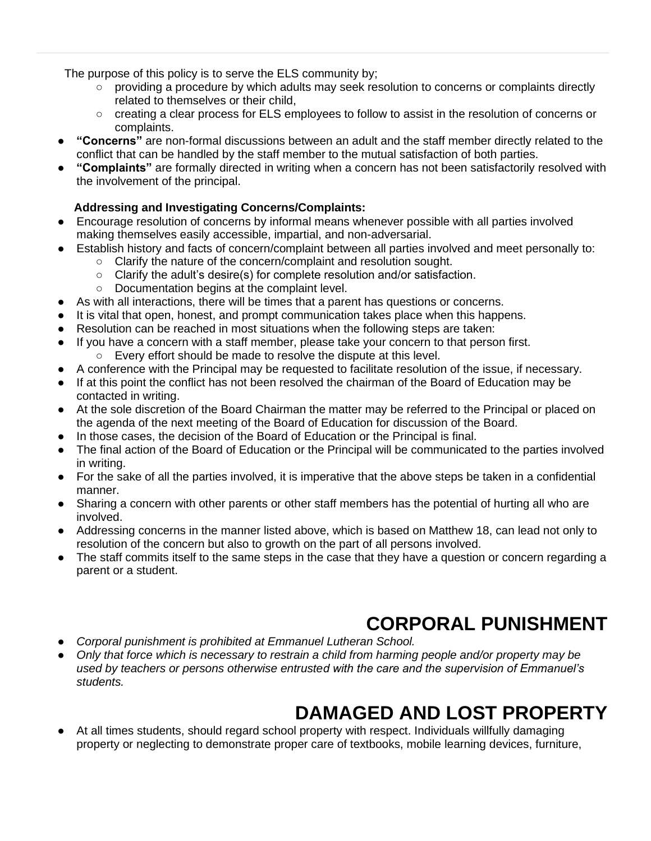The purpose of this policy is to serve the ELS community by;

- providing a procedure by which adults may seek resolution to concerns or complaints directly related to themselves or their child,
- creating a clear process for ELS employees to follow to assist in the resolution of concerns or complaints.
- "Concerns" are non-formal discussions between an adult and the staff member directly related to the conflict that can be handled by the staff member to the mutual satisfaction of both parties.
- **"Complaints"** are formally directed in writing when a concern has not been satisfactorily resolved with the involvement of the principal.

### **Addressing and Investigating Concerns/Complaints:**

- Encourage resolution of concerns by informal means whenever possible with all parties involved making themselves easily accessible, impartial, and non-adversarial.
- Establish history and facts of concern/complaint between all parties involved and meet personally to:
	- Clarify the nature of the concern/complaint and resolution sought.
	- Clarify the adult's desire(s) for complete resolution and/or satisfaction.
		- Documentation begins at the complaint level.
- As with all interactions, there will be times that a parent has questions or concerns.
- It is vital that open, honest, and prompt communication takes place when this happens.
- Resolution can be reached in most situations when the following steps are taken:
- If you have a concern with a staff member, please take your concern to that person first.
	- Every effort should be made to resolve the dispute at this level.
- A conference with the Principal may be requested to facilitate resolution of the issue, if necessary.
- If at this point the conflict has not been resolved the chairman of the Board of Education may be contacted in writing.
- At the sole discretion of the Board Chairman the matter may be referred to the Principal or placed on the agenda of the next meeting of the Board of Education for discussion of the Board.
- In those cases, the decision of the Board of Education or the Principal is final.
- The final action of the Board of Education or the Principal will be communicated to the parties involved in writing.
- For the sake of all the parties involved, it is imperative that the above steps be taken in a confidential manner.
- Sharing a concern with other parents or other staff members has the potential of hurting all who are involved.
- Addressing concerns in the manner listed above, which is based on Matthew 18, can lead not only to resolution of the concern but also to growth on the part of all persons involved.
- The staff commits itself to the same steps in the case that they have a question or concern regarding a parent or a student.

# **CORPORAL PUNISHMENT**

- <span id="page-21-0"></span>● *Corporal punishment is prohibited at Emmanuel Lutheran School.*
- *Only that force which is necessary to restrain a child from harming people and/or property may be used by teachers or persons otherwise entrusted with the care and the supervision of Emmanuel's students.*

# **DAMAGED AND LOST PROPERTY**

<span id="page-21-1"></span>At all times students, should regard school property with respect. Individuals willfully damaging property or neglecting to demonstrate proper care of textbooks, mobile learning devices, furniture,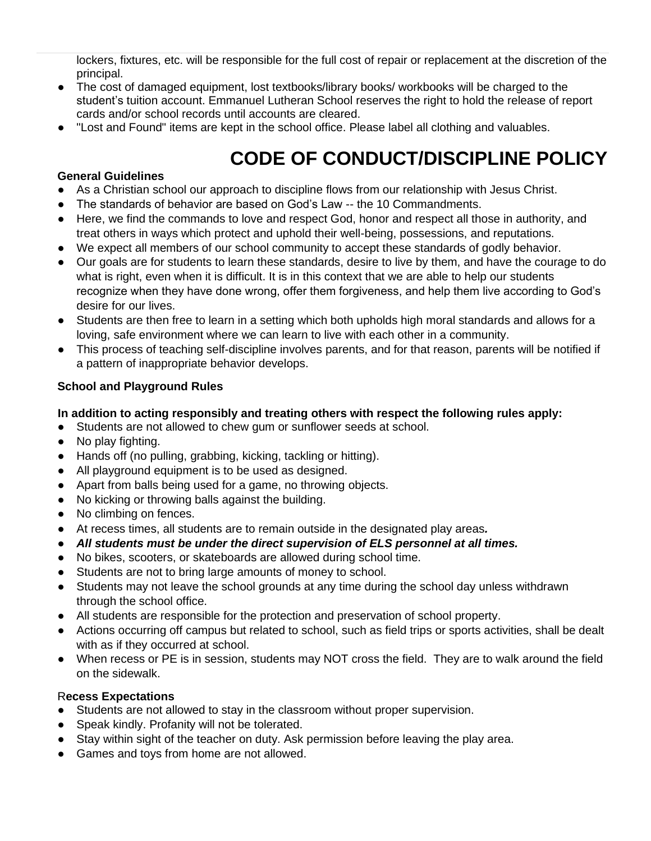lockers, fixtures, etc. will be responsible for the full cost of repair or replacement at the discretion of the principal.

- The cost of damaged equipment, lost textbooks/library books/ workbooks will be charged to the student's tuition account. Emmanuel Lutheran School reserves the right to hold the release of report cards and/or school records until accounts are cleared.
- "Lost and Found" items are kept in the school office. Please label all clothing and valuables.

# **CODE OF CONDUCT/DISCIPLINE POLICY**

#### <span id="page-22-0"></span>**General Guidelines**

- As a Christian school our approach to discipline flows from our relationship with Jesus Christ.
- The standards of behavior are based on God's Law -- the 10 Commandments.
- Here, we find the commands to love and respect God, honor and respect all those in authority, and treat others in ways which protect and uphold their well-being, possessions, and reputations.
- We expect all members of our school community to accept these standards of godly behavior.
- Our goals are for students to learn these standards, desire to live by them, and have the courage to do what is right, even when it is difficult. It is in this context that we are able to help our students recognize when they have done wrong, offer them forgiveness, and help them live according to God's desire for our lives.
- Students are then free to learn in a setting which both upholds high moral standards and allows for a loving, safe environment where we can learn to live with each other in a community.
- This process of teaching self-discipline involves parents, and for that reason, parents will be notified if a pattern of inappropriate behavior develops.

#### **School and Playground Rules**

#### **In addition to acting responsibly and treating others with respect the following rules apply:**

- Students are not allowed to chew gum or sunflower seeds at school.
- No play fighting.
- Hands off (no pulling, grabbing, kicking, tackling or hitting).
- All playground equipment is to be used as designed.
- Apart from balls being used for a game, no throwing objects.
- No kicking or throwing balls against the building.
- No climbing on fences.
- At recess times, all students are to remain outside in the designated play areas*.*
- *All students must be under the direct supervision of ELS personnel at all times.*
- No bikes, scooters, or skateboards are allowed during school time.
- Students are not to bring large amounts of money to school.
- Students may not leave the school grounds at any time during the school day unless withdrawn through the school office.
- All students are responsible for the protection and preservation of school property.
- Actions occurring off campus but related to school, such as field trips or sports activities, shall be dealt with as if they occurred at school.
- When recess or PE is in session, students may NOT cross the field. They are to walk around the field on the sidewalk.

#### R**ecess Expectations**

- Students are not allowed to stay in the classroom without proper supervision.
- Speak kindly. Profanity will not be tolerated.
- Stay within sight of the teacher on duty. Ask permission before leaving the play area.
- Games and toys from home are not allowed.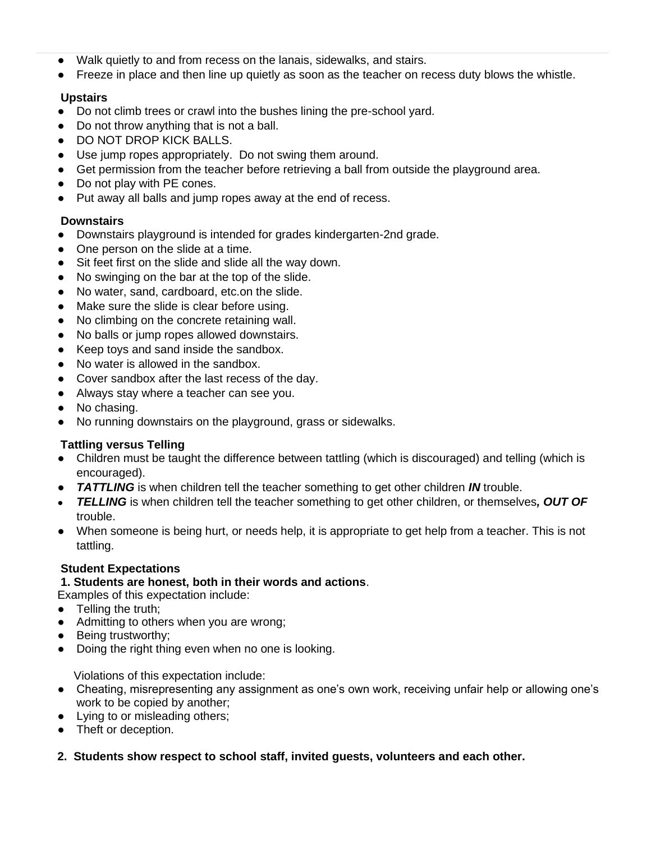- Walk quietly to and from recess on the lanais, sidewalks, and stairs.
- Freeze in place and then line up quietly as soon as the teacher on recess duty blows the whistle.

### **Upstairs**

- Do not climb trees or crawl into the bushes lining the pre-school yard.
- Do not throw anything that is not a ball.
- DO NOT DROP KICK BALLS.
- Use jump ropes appropriately. Do not swing them around.
- Get permission from the teacher before retrieving a ball from outside the playground area.
- Do not play with PE cones.
- Put away all balls and jump ropes away at the end of recess.

### **Downstairs**

- Downstairs playground is intended for grades kindergarten-2nd grade.
- One person on the slide at a time.
- Sit feet first on the slide and slide all the way down.
- No swinging on the bar at the top of the slide.
- No water, sand, cardboard, etc.on the slide.
- Make sure the slide is clear before using.
- No climbing on the concrete retaining wall.
- No balls or jump ropes allowed downstairs.
- Keep toys and sand inside the sandbox.
- No water is allowed in the sandbox.
- Cover sandbox after the last recess of the day.
- Always stay where a teacher can see you.
- No chasing.
- No running downstairs on the playground, grass or sidewalks.

### **Tattling versus Telling**

- Children must be taught the difference between tattling (which is discouraged) and telling (which is encouraged).
- *TATTLING* is when children tell the teacher something to get other children *IN* trouble.
- *TELLING* is when children tell the teacher something to get other children, or themselves*, OUT OF* trouble.
- When someone is being hurt, or needs help, it is appropriate to get help from a teacher. This is not tattling.

#### **Student Expectations**

#### **1. Students are honest, both in their words and actions**.

Examples of this expectation include:

- Telling the truth;
- Admitting to others when you are wrong;
- Being trustworthy;
- Doing the right thing even when no one is looking.

Violations of this expectation include:

- Cheating, misrepresenting any assignment as one's own work, receiving unfair help or allowing one's work to be copied by another;
- Lying to or misleading others;
- Theft or deception.
- **2. Students show respect to school staff, invited guests, volunteers and each other.**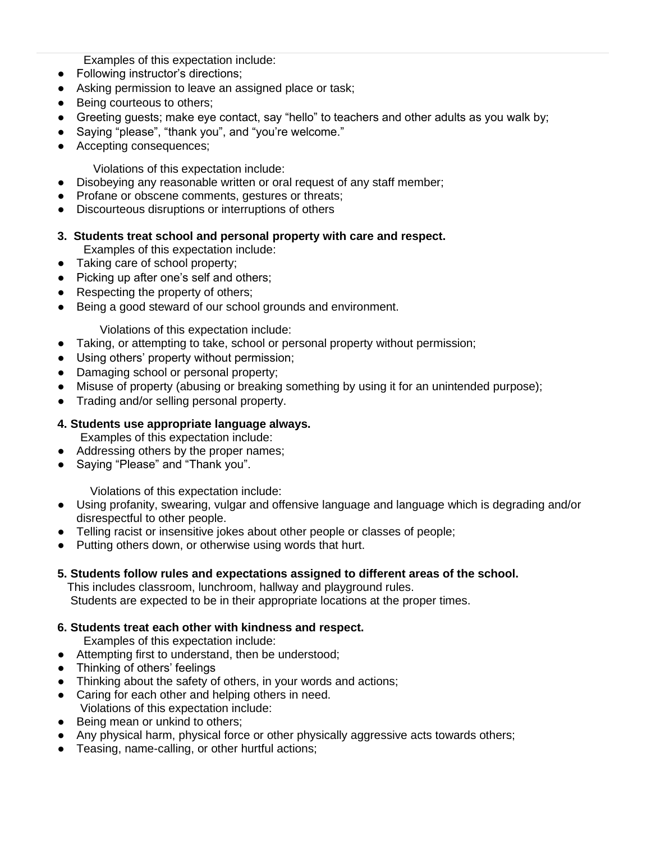Examples of this expectation include:

- Following instructor's directions;
- Asking permission to leave an assigned place or task;
- Being courteous to others;
- Greeting guests; make eye contact, say "hello" to teachers and other adults as you walk by;
- Saying "please", "thank you", and "you're welcome."
- Accepting consequences;

Violations of this expectation include:

- Disobeying any reasonable written or oral request of any staff member;
- Profane or obscene comments, gestures or threats;
- Discourteous disruptions or interruptions of others
- **3. Students treat school and personal property with care and respect.** 
	- Examples of this expectation include:
- Taking care of school property;
- Picking up after one's self and others;
- Respecting the property of others;
- Being a good steward of our school grounds and environment.

Violations of this expectation include:

- Taking, or attempting to take, school or personal property without permission;
- Using others' property without permission;
- Damaging school or personal property;
- Misuse of property (abusing or breaking something by using it for an unintended purpose);
- Trading and/or selling personal property.

#### **4. Students use appropriate language always.**

Examples of this expectation include:

- Addressing others by the proper names;
- Saying "Please" and "Thank you".

Violations of this expectation include:

- Using profanity, swearing, vulgar and offensive language and language which is degrading and/or disrespectful to other people.
- Telling racist or insensitive jokes about other people or classes of people;
- Putting others down, or otherwise using words that hurt.

#### **5. Students follow rules and expectations assigned to different areas of the school.**

 This includes classroom, lunchroom, hallway and playground rules. Students are expected to be in their appropriate locations at the proper times.

#### **6. Students treat each other with kindness and respect.**

Examples of this expectation include:

- Attempting first to understand, then be understood;
- Thinking of others' feelings
- Thinking about the safety of others, in your words and actions;
- Caring for each other and helping others in need. Violations of this expectation include:
- Being mean or unkind to others;
- Any physical harm, physical force or other physically aggressive acts towards others;
- Teasing, name-calling, or other hurtful actions;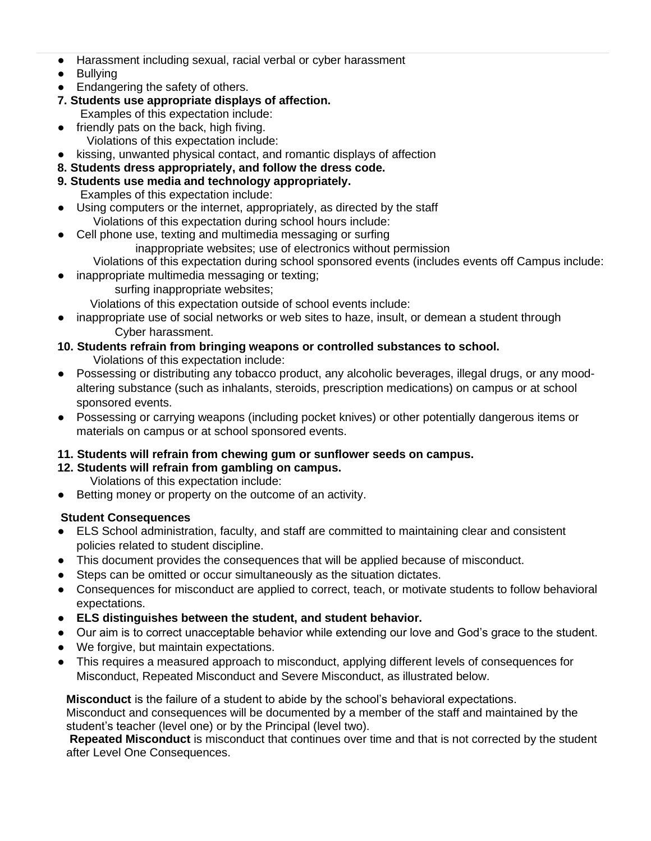- Harassment including sexual, racial verbal or cyber harassment
- Bullying
- Endangering the safety of others.
- **7. Students use appropriate displays of affection.** Examples of this expectation include:
- friendly pats on the back, high fiving.
	- Violations of this expectation include:
- kissing, unwanted physical contact, and romantic displays of affection
- **8. Students dress appropriately, and follow the dress code.**
- **9. Students use media and technology appropriately.**
	- Examples of this expectation include:
- Using computers or the internet, appropriately, as directed by the staff Violations of this expectation during school hours include:
- Cell phone use, texting and multimedia messaging or surfing inappropriate websites; use of electronics without permission
- Violations of this expectation during school sponsored events (includes events off Campus include:
	- inappropriate multimedia messaging or texting;
		- surfing inappropriate websites;

Violations of this expectation outside of school events include:

inappropriate use of social networks or web sites to haze, insult, or demean a student through Cyber harassment.

### **10. Students refrain from bringing weapons or controlled substances to school.**

Violations of this expectation include:

- Possessing or distributing any tobacco product, any alcoholic beverages, illegal drugs, or any moodaltering substance (such as inhalants, steroids, prescription medications) on campus or at school sponsored events.
- Possessing or carrying weapons (including pocket knives) or other potentially dangerous items or materials on campus or at school sponsored events.

### **11. Students will refrain from chewing gum or sunflower seeds on campus.**

**12. Students will refrain from gambling on campus.** 

Violations of this expectation include:

Betting money or property on the outcome of an activity.

### **Student Consequences**

- ELS School administration, faculty, and staff are committed to maintaining clear and consistent policies related to student discipline.
- This document provides the consequences that will be applied because of misconduct.
- Steps can be omitted or occur simultaneously as the situation dictates.
- Consequences for misconduct are applied to correct, teach, or motivate students to follow behavioral expectations.
- **ELS distinguishes between the student, and student behavior.**
- Our aim is to correct unacceptable behavior while extending our love and God's grace to the student.
- We forgive, but maintain expectations.
- This requires a measured approach to misconduct, applying different levels of consequences for Misconduct, Repeated Misconduct and Severe Misconduct, as illustrated below.

**Misconduct** is the failure of a student to abide by the school's behavioral expectations. Misconduct and consequences will be documented by a member of the staff and maintained by the student's teacher (level one) or by the Principal (level two).

**Repeated Misconduct** is misconduct that continues over time and that is not corrected by the student after Level One Consequences.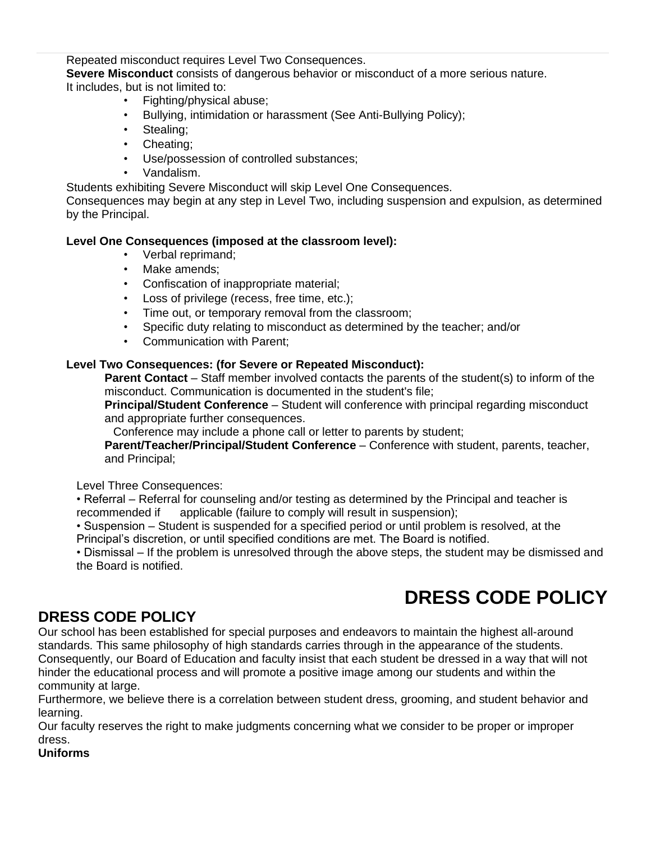Repeated misconduct requires Level Two Consequences.

**Severe Misconduct** consists of dangerous behavior or misconduct of a more serious nature. It includes, but is not limited to:

- Fighting/physical abuse;
- Bullying, intimidation or harassment (See Anti-Bullying Policy);
- Stealing:
- Cheating;
- Use/possession of controlled substances;
- Vandalism.

Students exhibiting Severe Misconduct will skip Level One Consequences.

Consequences may begin at any step in Level Two, including suspension and expulsion, as determined by the Principal.

#### **Level One Consequences (imposed at the classroom level):**

- Verbal reprimand;
- Make amends:
- Confiscation of inappropriate material;
- Loss of privilege (recess, free time, etc.);
- Time out, or temporary removal from the classroom;
- Specific duty relating to misconduct as determined by the teacher; and/or
- Communication with Parent;

#### **Level Two Consequences: (for Severe or Repeated Misconduct):**

**Parent Contact** – Staff member involved contacts the parents of the student(s) to inform of the misconduct. Communication is documented in the student's file;

**Principal/Student Conference** – Student will conference with principal regarding misconduct and appropriate further consequences.

Conference may include a phone call or letter to parents by student;

**Parent/Teacher/Principal/Student Conference** – Conference with student, parents, teacher, and Principal;

Level Three Consequences:

• Referral – Referral for counseling and/or testing as determined by the Principal and teacher is recommended if applicable (failure to comply will result in suspension);

• Suspension – Student is suspended for a specified period or until problem is resolved, at the Principal's discretion, or until specified conditions are met. The Board is notified.

• Dismissal – If the problem is unresolved through the above steps, the student may be dismissed and the Board is notified.

# **DRESS CODE POLICY**

### <span id="page-26-0"></span>**DRESS CODE POLICY**

Our school has been established for special purposes and endeavors to maintain the highest all-around standards. This same philosophy of high standards carries through in the appearance of the students. Consequently, our Board of Education and faculty insist that each student be dressed in a way that will not hinder the educational process and will promote a positive image among our students and within the community at large.

Furthermore, we believe there is a correlation between student dress, grooming, and student behavior and learning.

Our faculty reserves the right to make judgments concerning what we consider to be proper or improper dress.

### **Uniforms**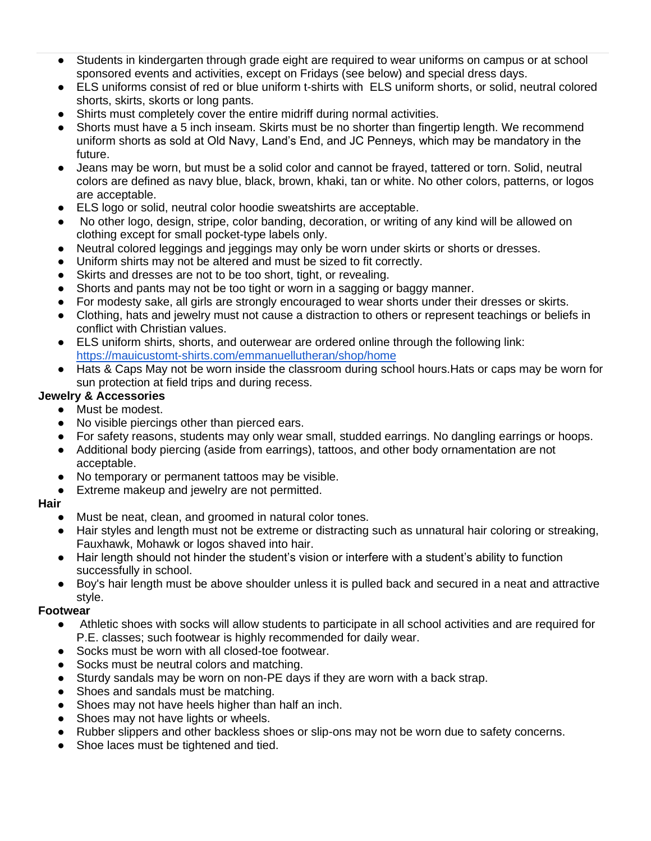- Students in kindergarten through grade eight are required to wear uniforms on campus or at school sponsored events and activities, except on Fridays (see below) and special dress days.
- ELS uniforms consist of red or blue uniform t-shirts with ELS uniform shorts, or solid, neutral colored shorts, skirts, skorts or long pants.
- Shirts must completely cover the entire midriff during normal activities.
- Shorts must have a 5 inch inseam. Skirts must be no shorter than fingertip length. We recommend uniform shorts as sold at Old Navy, Land's End, and JC Penneys, which may be mandatory in the future.
- Jeans may be worn, but must be a solid color and cannot be frayed, tattered or torn. Solid, neutral colors are defined as navy blue, black, brown, khaki, tan or white. No other colors, patterns, or logos are acceptable.
- ELS logo or solid, neutral color hoodie sweatshirts are acceptable.
- No other logo, design, stripe, color banding, decoration, or writing of any kind will be allowed on clothing except for small pocket-type labels only.
- Neutral colored leggings and jeggings may only be worn under skirts or shorts or dresses.
- Uniform shirts may not be altered and must be sized to fit correctly.
- Skirts and dresses are not to be too short, tight, or revealing.
- Shorts and pants may not be too tight or worn in a sagging or baggy manner.
- For modesty sake, all girls are strongly encouraged to wear shorts under their dresses or skirts.
- Clothing, hats and jewelry must not cause a distraction to others or represent teachings or beliefs in conflict with Christian values.
- ELS uniform shirts, shorts, and outerwear are ordered online through the following link: <https://mauicustomt-shirts.com/emmanuellutheran/shop/home>
- Hats & Caps May not be worn inside the classroom during school hours. Hats or caps may be worn for sun protection at field trips and during recess.

#### **Jewelry & Accessories**

- Must be modest.
- No visible piercings other than pierced ears.
- For safety reasons, students may only wear small, studded earrings. No dangling earrings or hoops.
- Additional body piercing (aside from earrings), tattoos, and other body ornamentation are not acceptable.
- No temporary or permanent tattoos may be visible.
- Extreme makeup and jewelry are not permitted.

#### **Hair**

- Must be neat, clean, and groomed in natural color tones.
- Hair styles and length must not be extreme or distracting such as unnatural hair coloring or streaking, Fauxhawk, Mohawk or logos shaved into hair.
- Hair length should not hinder the student's vision or interfere with a student's ability to function successfully in school.
- Boy's hair length must be above shoulder unless it is pulled back and secured in a neat and attractive style.

#### **Footwear**

- Athletic shoes with socks will allow students to participate in all school activities and are required for P.E. classes; such footwear is highly recommended for daily wear.
- Socks must be worn with all closed-toe footwear.
- Socks must be neutral colors and matching.
- Sturdy sandals may be worn on non-PE days if they are worn with a back strap.
- Shoes and sandals must be matching.
- Shoes may not have heels higher than half an inch.
- Shoes may not have lights or wheels.
- Rubber slippers and other backless shoes or slip-ons may not be worn due to safety concerns.
- Shoe laces must be tightened and tied.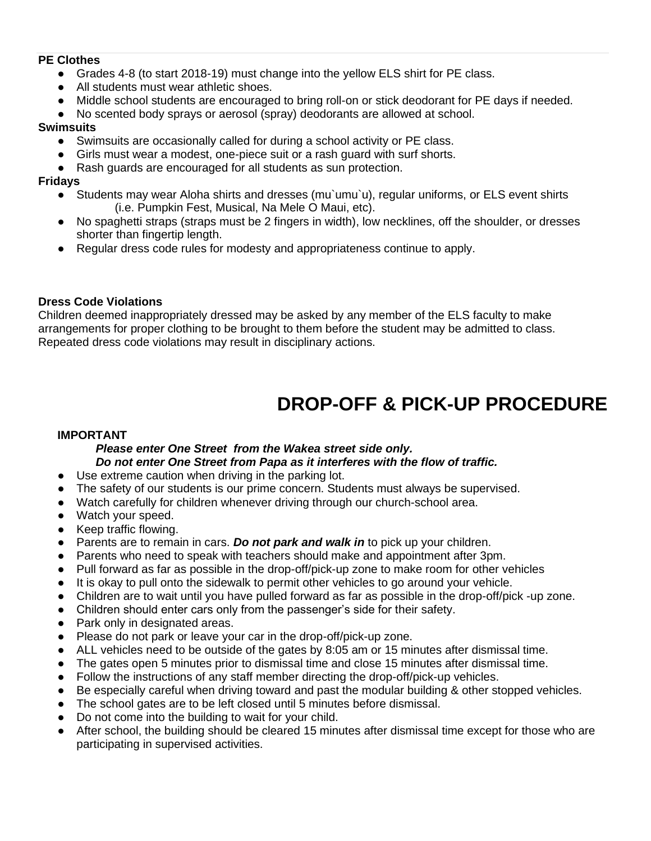#### **PE Clothes**

- Grades 4-8 (to start 2018-19) must change into the yellow ELS shirt for PE class.
- All students must wear athletic shoes.
- Middle school students are encouraged to bring roll-on or stick deodorant for PE days if needed.
- No scented body sprays or aerosol (spray) deodorants are allowed at school.

#### **Swimsuits**

- Swimsuits are occasionally called for during a school activity or PE class.
- Girls must wear a modest, one-piece suit or a rash guard with surf shorts.
- Rash guards are encouraged for all students as sun protection.

#### **Fridays**

- Students may wear Aloha shirts and dresses (mu`umu`u), regular uniforms, or ELS event shirts (i.e. Pumpkin Fest, Musical, Na Mele O Maui, etc).
- No spaghetti straps (straps must be 2 fingers in width), low necklines, off the shoulder, or dresses shorter than fingertip length.
- Regular dress code rules for modesty and appropriateness continue to apply.

#### **Dress Code Violations**

Children deemed inappropriately dressed may be asked by any member of the ELS faculty to make arrangements for proper clothing to be brought to them before the student may be admitted to class. Repeated dress code violations may result in disciplinary actions.

### **DROP-OFF & PICK-UP PROCEDURE**

#### <span id="page-28-0"></span>**IMPORTANT**

#### *Please enter One Street from the Wakea street side only. Do not enter One Street from Papa as it interferes with the flow of traffic.*

- Use extreme caution when driving in the parking lot.
- The safety of our students is our prime concern. Students must always be supervised.
- Watch carefully for children whenever driving through our church-school area.
- Watch your speed.
- Keep traffic flowing.
- Parents are to remain in cars. **Do not park and walk in** to pick up your children.
- Parents who need to speak with teachers should make and appointment after 3pm.
- Pull forward as far as possible in the drop-off/pick-up zone to make room for other vehicles
- It is okay to pull onto the sidewalk to permit other vehicles to go around your vehicle.
- Children are to wait until you have pulled forward as far as possible in the drop-off/pick -up zone.
- Children should enter cars only from the passenger's side for their safety.
- Park only in designated areas.
- Please do not park or leave your car in the drop-off/pick-up zone.
- ALL vehicles need to be outside of the gates by 8:05 am or 15 minutes after dismissal time.
- The gates open 5 minutes prior to dismissal time and close 15 minutes after dismissal time.
- Follow the instructions of any staff member directing the drop-off/pick-up vehicles.
- Be especially careful when driving toward and past the modular building & other stopped vehicles.
- The school gates are to be left closed until 5 minutes before dismissal.
- Do not come into the building to wait for your child.
- After school, the building should be cleared 15 minutes after dismissal time except for those who are participating in supervised activities.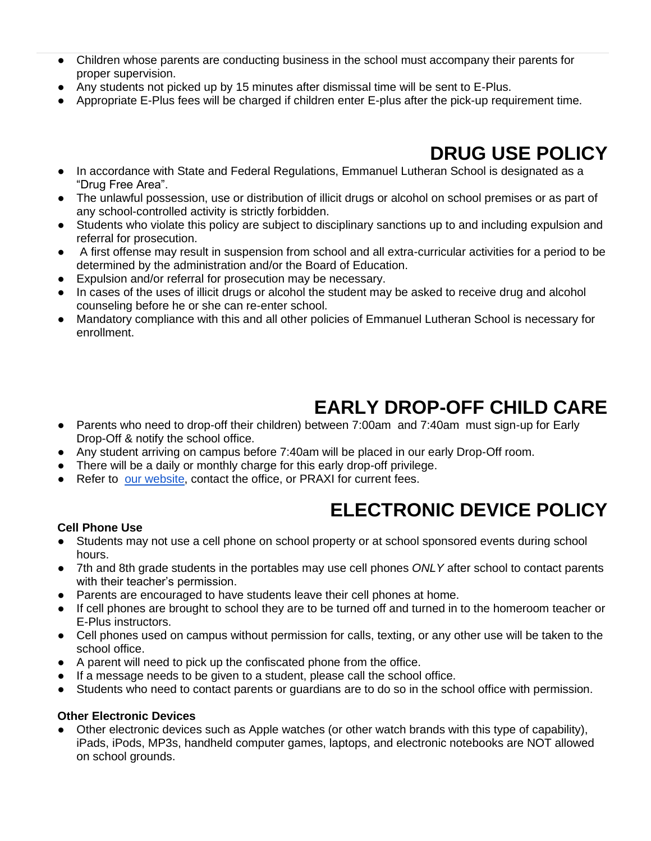- Children whose parents are conducting business in the school must accompany their parents for proper supervision.
- Any students not picked up by 15 minutes after dismissal time will be sent to E-Plus.
- Appropriate E-Plus fees will be charged if children enter E-plus after the pick-up requirement time.

# **DRUG USE POLICY**

- <span id="page-29-0"></span>● In accordance with State and Federal Regulations, Emmanuel Lutheran School is designated as a "Drug Free Area".
- The unlawful possession, use or distribution of illicit drugs or alcohol on school premises or as part of any school-controlled activity is strictly forbidden.
- Students who violate this policy are subject to disciplinary sanctions up to and including expulsion and referral for prosecution.
- A first offense may result in suspension from school and all extra-curricular activities for a period to be determined by the administration and/or the Board of Education.
- Expulsion and/or referral for prosecution may be necessary.
- In cases of the uses of illicit drugs or alcohol the student may be asked to receive drug and alcohol counseling before he or she can re-enter school.
- Mandatory compliance with this and all other policies of Emmanuel Lutheran School is necessary for enrollment.

# **EARLY DROP-OFF CHILD CARE**

- <span id="page-29-1"></span>● Parents who need to drop-off their children) between 7:00am and 7:40am must sign-up for Early Drop-Off & notify the school office.
- Any student arriving on campus before 7:40am will be placed in our early Drop-Off room.
- There will be a daily or monthly charge for this early drop-off privilege.
- Refer to [our website,](http://www.els-maui.org/tuition) contact the office, or PRAXI for current fees.

# **ELECTRONIC DEVICE POLICY**

#### <span id="page-29-2"></span>**Cell Phone Use**

- Students may not use a cell phone on school property or at school sponsored events during school hours.
- 7th and 8th grade students in the portables may use cell phones *ONLY* after school to contact parents with their teacher's permission.
- Parents are encouraged to have students leave their cell phones at home.
- If cell phones are brought to school they are to be turned off and turned in to the homeroom teacher or E-Plus instructors.
- Cell phones used on campus without permission for calls, texting, or any other use will be taken to the school office.
- A parent will need to pick up the confiscated phone from the office.
- If a message needs to be given to a student, please call the school office.
- Students who need to contact parents or guardians are to do so in the school office with permission.

#### **Other Electronic Devices**

Other electronic devices such as Apple watches (or other watch brands with this type of capability), iPads, iPods, MP3s, handheld computer games, laptops, and electronic notebooks are NOT allowed on school grounds.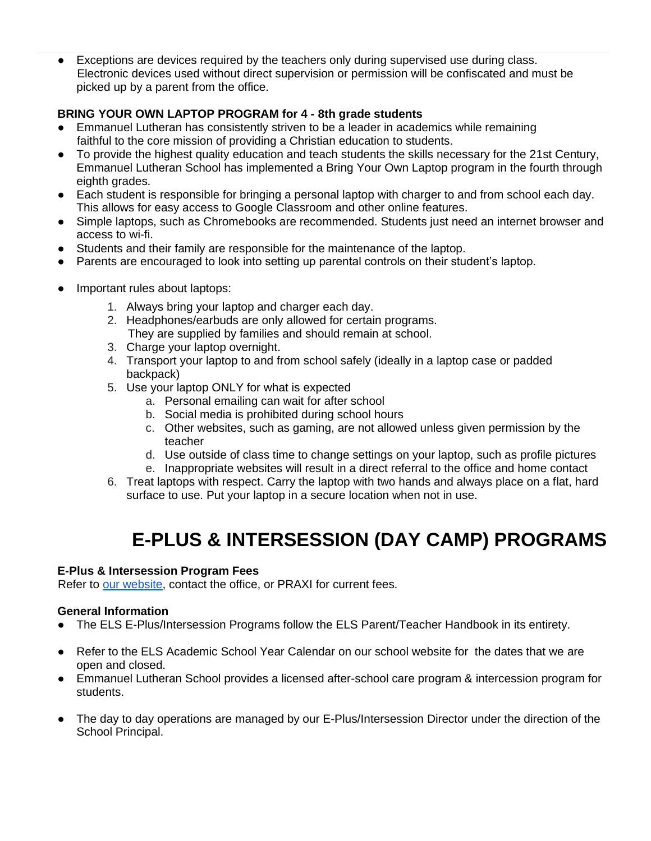● Exceptions are devices required by the teachers only during supervised use during class. Electronic devices used without direct supervision or permission will be confiscated and must be picked up by a parent from the office.

### **BRING YOUR OWN LAPTOP PROGRAM for 4 - 8th grade students**

- Emmanuel Lutheran has consistently striven to be a leader in academics while remaining faithful to the core mission of providing a Christian education to students.
- To provide the highest quality education and teach students the skills necessary for the 21st Century, Emmanuel Lutheran School has implemented a Bring Your Own Laptop program in the fourth through eighth grades.
- Each student is responsible for bringing a personal laptop with charger to and from school each day. This allows for easy access to Google Classroom and other online features.
- Simple laptops, such as Chromebooks are recommended. Students just need an internet browser and access to wi-fi.
- Students and their family are responsible for the maintenance of the laptop.
- Parents are encouraged to look into setting up parental controls on their student's laptop.
- Important rules about laptops:
	- 1. Always bring your laptop and charger each day.
	- 2. Headphones/earbuds are only allowed for certain programs. They are supplied by families and should remain at school.
	- 3. Charge your laptop overnight.
	- 4. Transport your laptop to and from school safely (ideally in a laptop case or padded backpack)
	- 5. Use your laptop ONLY for what is expected
		- a. Personal emailing can wait for after school
		- b. Social media is prohibited during school hours
		- c. Other websites, such as gaming, are not allowed unless given permission by the teacher
		- d. Use outside of class time to change settings on your laptop, such as profile pictures
		- e. Inappropriate websites will result in a direct referral to the office and home contact
	- 6. Treat laptops with respect. Carry the laptop with two hands and always place on a flat, hard surface to use. Put your laptop in a secure location when not in use.

# **E-PLUS & INTERSESSION (DAY CAMP) PROGRAMS**

#### <span id="page-30-0"></span>**E-Plus & Intersession Program Fees**

Refer to [our website,](http://www.els-maui.org/tuition) contact the office, or PRAXI for current fees.

#### **General Information**

- The ELS E-Plus/Intersession Programs follow the ELS Parent/Teacher Handbook in its entirety.
- Refer to the ELS Academic School Year Calendar on our school website for the dates that we are open and closed.
- Emmanuel Lutheran School provides a licensed after-school care program & intercession program for students.
- The day to day operations are managed by our E-Plus/Intersession Director under the direction of the School Principal.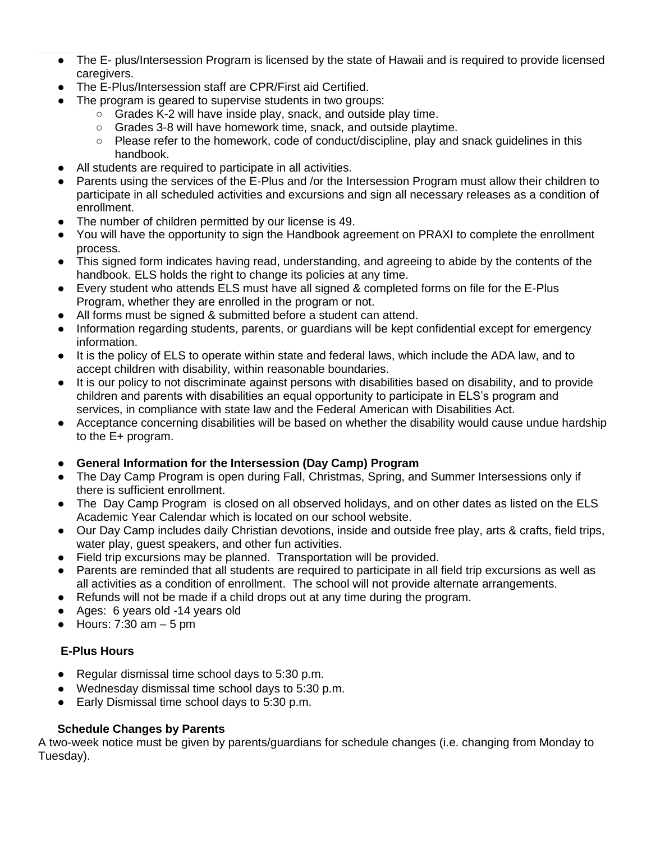- The E- plus/Intersession Program is licensed by the state of Hawaii and is required to provide licensed caregivers.
- The E-Plus/Intersession staff are CPR/First aid Certified.
	- The program is geared to supervise students in two groups:
		- Grades K-2 will have inside play, snack, and outside play time.
		- Grades 3-8 will have homework time, snack, and outside playtime.
		- Please refer to the homework, code of conduct/discipline, play and snack guidelines in this handbook.
- All students are required to participate in all activities.
- Parents using the services of the E-Plus and /or the Intersession Program must allow their children to participate in all scheduled activities and excursions and sign all necessary releases as a condition of enrollment.
- The number of children permitted by our license is 49.
- You will have the opportunity to sign the Handbook agreement on PRAXI to complete the enrollment process.
- This signed form indicates having read, understanding, and agreeing to abide by the contents of the handbook. ELS holds the right to change its policies at any time.
- Every student who attends ELS must have all signed & completed forms on file for the E-Plus Program, whether they are enrolled in the program or not.
- All forms must be signed & submitted before a student can attend.
- Information regarding students, parents, or guardians will be kept confidential except for emergency information.
- It is the policy of ELS to operate within state and federal laws, which include the ADA law, and to accept children with disability, within reasonable boundaries.
- It is our policy to not discriminate against persons with disabilities based on disability, and to provide children and parents with disabilities an equal opportunity to participate in ELS's program and services, in compliance with state law and the Federal American with Disabilities Act.
- Acceptance concerning disabilities will be based on whether the disability would cause undue hardship to the E+ program.

### ● **General Information for the Intersession (Day Camp) Program**

- The Day Camp Program is open during Fall, Christmas, Spring, and Summer Intersessions only if there is sufficient enrollment.
- The Day Camp Program is closed on all observed holidays, and on other dates as listed on the ELS Academic Year Calendar which is located on our school website.
- Our Day Camp includes daily Christian devotions, inside and outside free play, arts & crafts, field trips, water play, guest speakers, and other fun activities.
- Field trip excursions may be planned. Transportation will be provided.
- Parents are reminded that all students are required to participate in all field trip excursions as well as all activities as a condition of enrollment. The school will not provide alternate arrangements.
- Refunds will not be made if a child drops out at any time during the program.
- Ages: 6 years old -14 years old
- $\bullet$  Hours: 7:30 am  $-5$  pm

### **E-Plus Hours**

- Regular dismissal time school days to 5:30 p.m.
- Wednesday dismissal time school days to 5:30 p.m.
- Early Dismissal time school days to 5:30 p.m.

### **Schedule Changes by Parents**

A two-week notice must be given by parents/guardians for schedule changes (i.e. changing from Monday to Tuesday).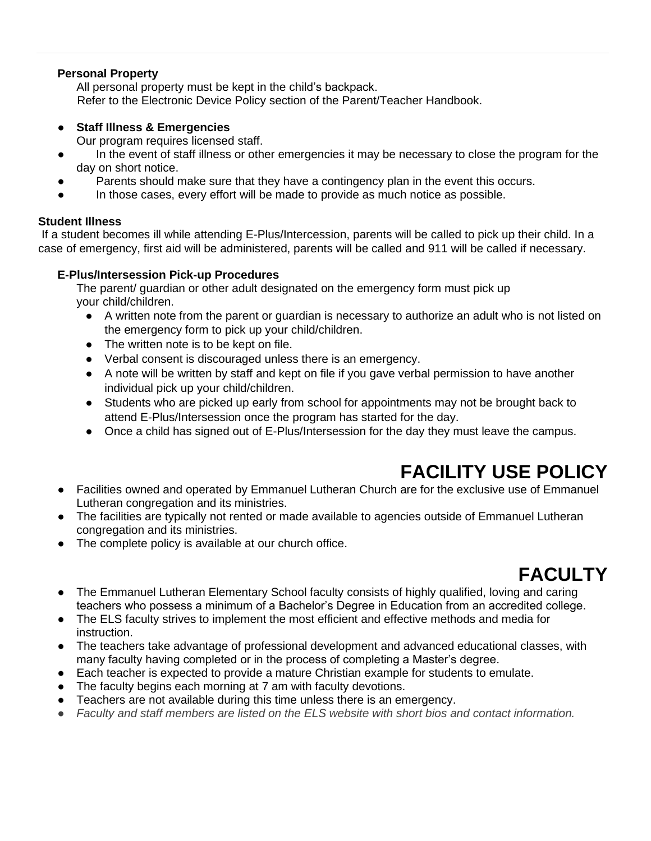#### **Personal Property**

All personal property must be kept in the child's backpack. Refer to the Electronic Device Policy section of the Parent/Teacher Handbook.

#### ● **Staff Illness & Emergencies**

Our program requires licensed staff.

- In the event of staff illness or other emergencies it may be necessary to close the program for the day on short notice.
- Parents should make sure that they have a contingency plan in the event this occurs.
- In those cases, every effort will be made to provide as much notice as possible.

#### **Student Illness**

If a student becomes ill while attending E-Plus/Intercession, parents will be called to pick up their child. In a case of emergency, first aid will be administered, parents will be called and 911 will be called if necessary.

#### **E-Plus/Intersession Pick-up Procedures**

The parent/ guardian or other adult designated on the emergency form must pick up your child/children.

- A written note from the parent or guardian is necessary to authorize an adult who is not listed on the emergency form to pick up your child/children.
- The written note is to be kept on file.
- Verbal consent is discouraged unless there is an emergency.
- A note will be written by staff and kept on file if you gave verbal permission to have another individual pick up your child/children.
- Students who are picked up early from school for appointments may not be brought back to attend E-Plus/Intersession once the program has started for the day.
- Once a child has signed out of E-Plus/Intersession for the day they must leave the campus.

# **FACILITY USE POLICY**

- <span id="page-32-0"></span>● Facilities owned and operated by Emmanuel Lutheran Church are for the exclusive use of Emmanuel Lutheran congregation and its ministries.
- The facilities are typically not rented or made available to agencies outside of Emmanuel Lutheran congregation and its ministries.
- The complete policy is available at our church office.

# **FACULTY**

- <span id="page-32-1"></span>● The Emmanuel Lutheran Elementary School faculty consists of highly qualified, loving and caring teachers who possess a minimum of a Bachelor's Degree in Education from an accredited college.
- The ELS faculty strives to implement the most efficient and effective methods and media for instruction.
- The teachers take advantage of professional development and advanced educational classes, with many faculty having completed or in the process of completing a Master's degree.
- Each teacher is expected to provide a mature Christian example for students to emulate.
- The faculty begins each morning at 7 am with faculty devotions.
- Teachers are not available during this time unless there is an emergency.
- *Faculty and staff members are listed on the ELS website with short bios and contact information.*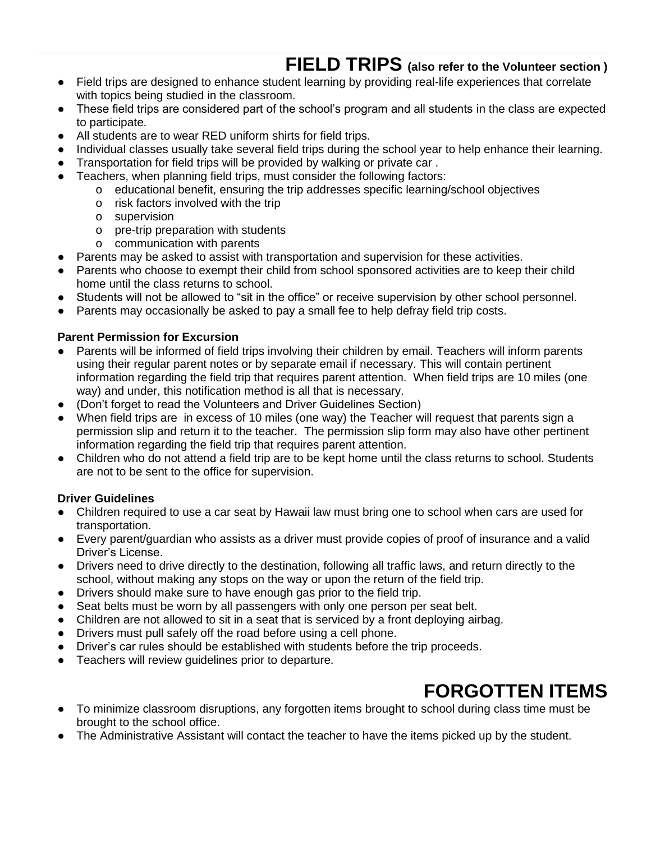### **FIELD TRIPS (also refer to the Volunteer section )**

- <span id="page-33-0"></span>● Field trips are designed to enhance student learning by providing real-life experiences that correlate with topics being studied in the classroom.
- These field trips are considered part of the school's program and all students in the class are expected to participate.
- All students are to wear RED uniform shirts for field trips.
- Individual classes usually take several field trips during the school year to help enhance their learning.
- Transportation for field trips will be provided by walking or private car.
- Teachers, when planning field trips, must consider the following factors:
	- o educational benefit, ensuring the trip addresses specific learning/school objectives
		- o risk factors involved with the trip
		- o supervision
		- o pre-trip preparation with students
		- o communication with parents
- Parents may be asked to assist with transportation and supervision for these activities.
- Parents who choose to exempt their child from school sponsored activities are to keep their child home until the class returns to school.
- Students will not be allowed to "sit in the office" or receive supervision by other school personnel.
- Parents may occasionally be asked to pay a small fee to help defray field trip costs.

#### **Parent Permission for Excursion**

- Parents will be informed of field trips involving their children by email. Teachers will inform parents using their regular parent notes or by separate email if necessary. This will contain pertinent information regarding the field trip that requires parent attention. When field trips are 10 miles (one way) and under, this notification method is all that is necessary.
- (Don't forget to read the Volunteers and Driver Guidelines Section)
- When field trips are in excess of 10 miles (one way) the Teacher will request that parents sign a permission slip and return it to the teacher. The permission slip form may also have other pertinent information regarding the field trip that requires parent attention.
- Children who do not attend a field trip are to be kept home until the class returns to school. Students are not to be sent to the office for supervision.

### **Driver Guidelines**

- Children required to use a car seat by Hawaii law must bring one to school when cars are used for transportation.
- Every parent/guardian who assists as a driver must provide copies of proof of insurance and a valid Driver's License.
- Drivers need to drive directly to the destination, following all traffic laws, and return directly to the school, without making any stops on the way or upon the return of the field trip.
- Drivers should make sure to have enough gas prior to the field trip.
- Seat belts must be worn by all passengers with only one person per seat belt.
- Children are not allowed to sit in a seat that is serviced by a front deploying airbag.
- Drivers must pull safely off the road before using a cell phone.
- Driver's car rules should be established with students before the trip proceeds.
- Teachers will review guidelines prior to departure.

# **FORGOTTEN ITEMS**

- <span id="page-33-1"></span>● To minimize classroom disruptions, any forgotten items brought to school during class time must be brought to the school office.
- The Administrative Assistant will contact the teacher to have the items picked up by the student.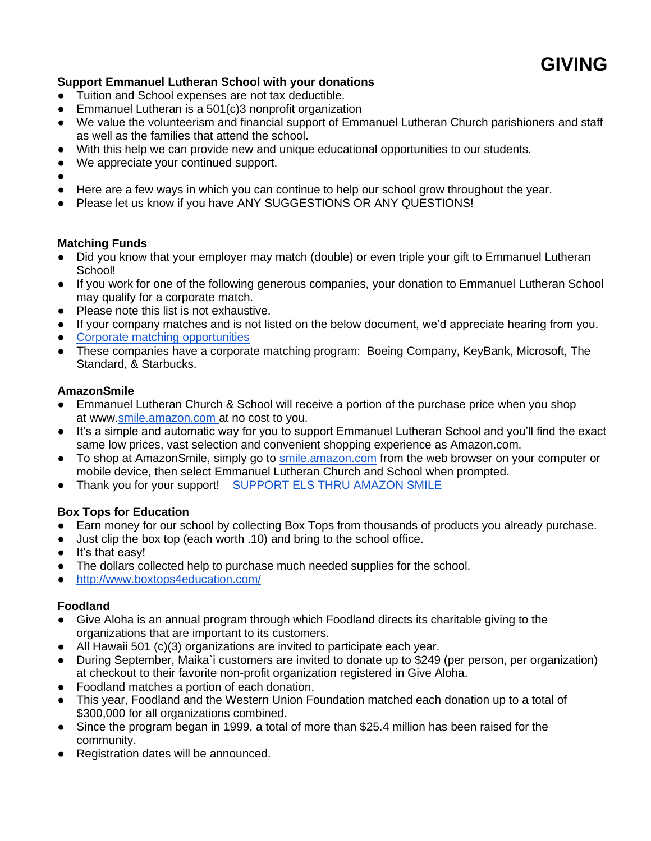### <span id="page-34-0"></span>**Support Emmanuel Lutheran School with your donations**

- Tuition and School expenses are not tax deductible.
- Emmanuel Lutheran is a 501(c)3 nonprofit organization
- We value the volunteerism and financial support of Emmanuel Lutheran Church parishioners and staff as well as the families that attend the school.
- With this help we can provide new and unique educational opportunities to our students.
- We appreciate your continued support.
- ●
- Here are a few ways in which you can continue to help our school grow throughout the year.
- Please let us know if you have ANY SUGGESTIONS OR ANY QUESTIONS!

#### **Matching Funds**

- Did you know that your employer may match (double) or even triple your gift to Emmanuel Lutheran School!
- If you work for one of the following generous companies, your donation to Emmanuel Lutheran School may qualify for a corporate match.
- Please note this list is not exhaustive.
- If your company matches and is not listed on the below document, we'd appreciate hearing from you.
- [Corporate matching opportunities](http://hls.hopeseattle.org/wp-content/uploads/2013/07/Corporate-matching-opportunities.pdf)
- These companies have a corporate matching program: Boeing Company, KeyBank, Microsoft, The Standard, & Starbucks.

#### **AmazonSmile**

- Emmanuel Lutheran Church & School will receive a portion of the purchase price when you shop at [www.](http://www.smile.amazon.com)[smile.amazon.com](http://smile.amazon.com/) at no cost to you.
- It's a simple and automatic way for you to support Emmanuel Lutheran School and you'll find the exact same low prices, vast selection and convenient shopping experience as Amazon.com.
- To shop at AmazonSmile, simply go to [smile.amazon.com](http://smile.amazon.com/) from the web browser on your computer or mobile device, then select Emmanuel Lutheran Church and School when prompted.
- Thank you for your support! [SUPPORT ELS THRU AMAZON SMILE](https://smile.amazon.com/)

#### **Box Tops for Education**

- Earn money for our school by collecting Box Tops from thousands of products you already purchase.
- Just clip the box top (each worth .10) and bring to the school office.
- It's that easy!
- The dollars collected help to purchase much needed supplies for the school.
- <http://www.boxtops4education.com/>

#### **Foodland**

- Give Aloha is an annual program through which Foodland directs its charitable giving to the organizations that are important to its customers.
- All Hawaii 501 (c)(3) organizations are invited to participate each year.
- During September, Maika`i customers are invited to donate up to \$249 (per person, per organization) at checkout to their favorite non-profit organization registered in Give Aloha.
- Foodland matches a portion of each donation.
- This year, Foodland and the Western Union Foundation matched each donation up to a total of \$300,000 for all organizations combined.
- Since the program began in 1999, a total of more than \$25.4 million has been raised for the community.
- Registration dates will be announced.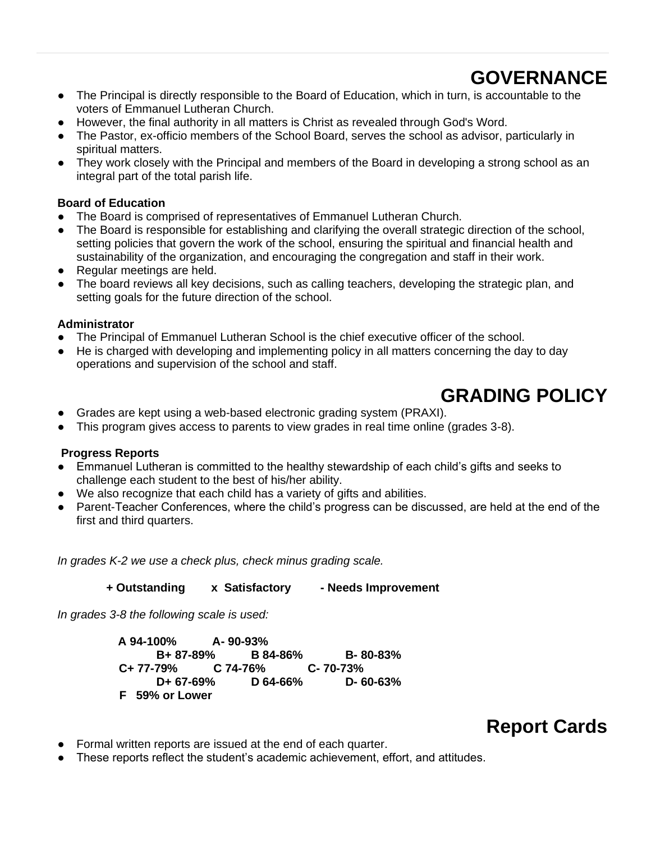# **GOVERNANCE**

- <span id="page-35-0"></span>● The Principal is directly responsible to the Board of Education, which in turn, is accountable to the voters of Emmanuel Lutheran Church.
- However, the final authority in all matters is Christ as revealed through God's Word.
- The Pastor, ex-officio members of the School Board, serves the school as advisor, particularly in spiritual matters.
- They work closely with the Principal and members of the Board in developing a strong school as an integral part of the total parish life.

#### **Board of Education**

- The Board is comprised of representatives of Emmanuel Lutheran Church.
- The Board is responsible for establishing and clarifying the overall strategic direction of the school, setting policies that govern the work of the school, ensuring the spiritual and financial health and sustainability of the organization, and encouraging the congregation and staff in their work.
- Regular meetings are held.
- The board reviews all key decisions, such as calling teachers, developing the strategic plan, and setting goals for the future direction of the school.

#### **Administrator**

- The Principal of Emmanuel Lutheran School is the chief executive officer of the school.
- He is charged with developing and implementing policy in all matters concerning the day to day operations and supervision of the school and staff.

### **GRADING POLICY**

- <span id="page-35-1"></span>● Grades are kept using a web-based electronic grading system (PRAXI).
- This program gives access to parents to view grades in real time online (grades 3-8).

#### **Progress Reports**

- Emmanuel Lutheran is committed to the healthy stewardship of each child's gifts and seeks to challenge each student to the best of his/her ability.
- We also recognize that each child has a variety of gifts and abilities.
- Parent-Teacher Conferences, where the child's progress can be discussed, are held at the end of the first and third quarters.

*In grades K-2 we use a check plus, check minus grading scale.* 

 **+ Outstanding x Satisfactory - Needs Improvement**

*In grades 3-8 the following scale is used:*

**A 94-100% A- 90-93% B+ 87-89% B 84-86% B- 80-83% C+ 77-79% C 74-76% C- 70-73% D+ 67-69% D 64-66% D- 60-63% F 59% or Lower** 

# **Report Cards**

- <span id="page-35-2"></span>● Formal written reports are issued at the end of each quarter.
- These reports reflect the student's academic achievement, effort, and attitudes.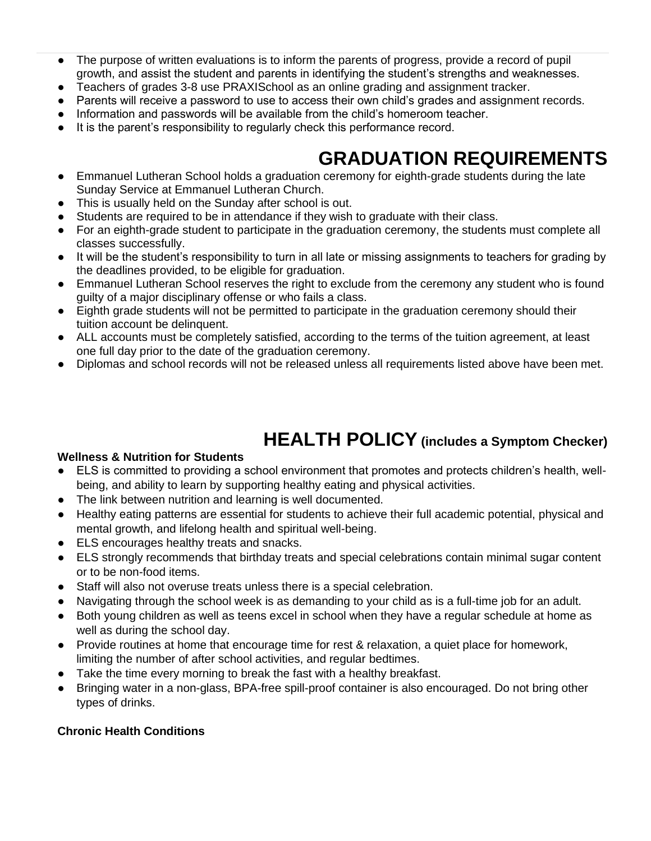- The purpose of written evaluations is to inform the parents of progress, provide a record of pupil growth, and assist the student and parents in identifying the student's strengths and weaknesses.
- Teachers of grades 3-8 use PRAXISchool as an online grading and assignment tracker.
- Parents will receive a password to use to access their own child's grades and assignment records.
- Information and passwords will be available from the child's homeroom teacher.
- It is the parent's responsibility to regularly check this performance record.

# **GRADUATION REQUIREMENTS**

- <span id="page-36-0"></span>● Emmanuel Lutheran School holds a graduation ceremony for eighth-grade students during the late Sunday Service at Emmanuel Lutheran Church.
- This is usually held on the Sunday after school is out.
- Students are required to be in attendance if they wish to graduate with their class.
- For an eighth-grade student to participate in the graduation ceremony, the students must complete all classes successfully.
- It will be the student's responsibility to turn in all late or missing assignments to teachers for grading by the deadlines provided, to be eligible for graduation.
- Emmanuel Lutheran School reserves the right to exclude from the ceremony any student who is found guilty of a major disciplinary offense or who fails a class.
- Eighth grade students will not be permitted to participate in the graduation ceremony should their tuition account be delinquent.
- ALL accounts must be completely satisfied, according to the terms of the tuition agreement, at least one full day prior to the date of the graduation ceremony.
- Diplomas and school records will not be released unless all requirements listed above have been met.

### **HEALTH POLICY (includes a Symptom Checker)**

#### <span id="page-36-1"></span>**Wellness & Nutrition for Students**

- ELS is committed to providing a school environment that promotes and protects children's health, wellbeing, and ability to learn by supporting healthy eating and physical activities.
- The link between nutrition and learning is well documented.
- Healthy eating patterns are essential for students to achieve their full academic potential, physical and mental growth, and lifelong health and spiritual well-being.
- ELS encourages healthy treats and snacks.
- ELS strongly recommends that birthday treats and special celebrations contain minimal sugar content or to be non-food items.
- Staff will also not overuse treats unless there is a special celebration.
- Navigating through the school week is as demanding to your child as is a full-time job for an adult.
- Both young children as well as teens excel in school when they have a regular schedule at home as well as during the school day.
- Provide routines at home that encourage time for rest & relaxation, a quiet place for homework, limiting the number of after school activities, and regular bedtimes.
- Take the time every morning to break the fast with a healthy breakfast.
- Bringing water in a non-glass, BPA-free spill-proof container is also encouraged. Do not bring other types of drinks.

### **Chronic Health Conditions**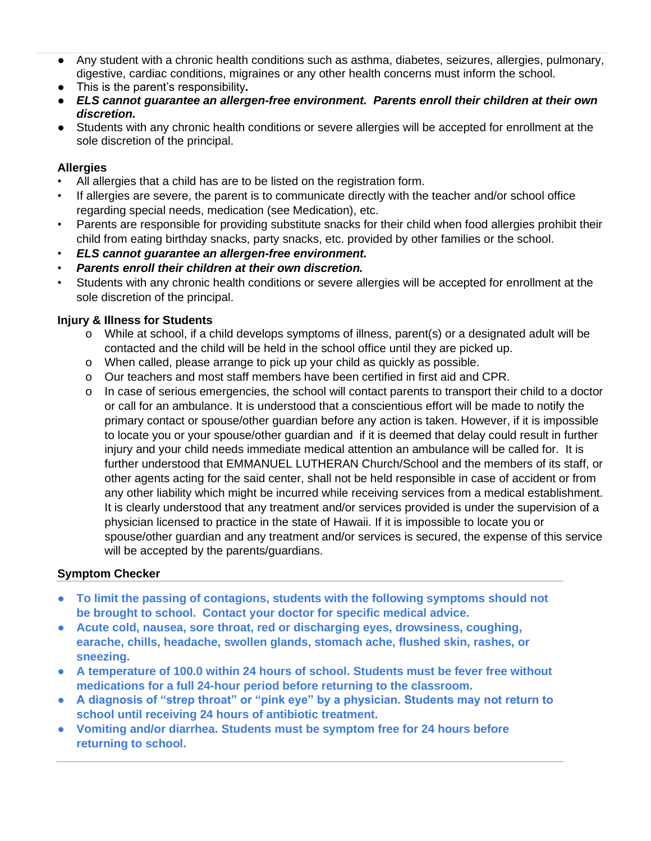- Any student with a chronic health conditions such as asthma, diabetes, seizures, allergies, pulmonary, digestive, cardiac conditions, migraines or any other health concerns must inform the school.
- This is the parent's responsibility*.*
- *ELS cannot guarantee an allergen-free environment. Parents enroll their children at their own discretion.*
- Students with any chronic health conditions or severe allergies will be accepted for enrollment at the sole discretion of the principal.

#### **Allergies**

- All allergies that a child has are to be listed on the registration form.
- If allergies are severe, the parent is to communicate directly with the teacher and/or school office regarding special needs, medication (see Medication), etc.
- Parents are responsible for providing substitute snacks for their child when food allergies prohibit their child from eating birthday snacks, party snacks, etc. provided by other families or the school.
- *ELS cannot guarantee an allergen-free environment.*
- *Parents enroll their children at their own discretion.*
- Students with any chronic health conditions or severe allergies will be accepted for enrollment at the sole discretion of the principal.

#### **Injury & Illness for Students**

- o While at school, if a child develops symptoms of illness, parent(s) or a designated adult will be contacted and the child will be held in the school office until they are picked up.
- o When called, please arrange to pick up your child as quickly as possible.
- o Our teachers and most staff members have been certified in first aid and CPR.
- o In case of serious emergencies, the school will contact parents to transport their child to a doctor or call for an ambulance. It is understood that a conscientious effort will be made to notify the primary contact or spouse/other guardian before any action is taken. However, if it is impossible to locate you or your spouse/other guardian and if it is deemed that delay could result in further injury and your child needs immediate medical attention an ambulance will be called for. It is further understood that EMMANUEL LUTHERAN Church/School and the members of its staff, or other agents acting for the said center, shall not be held responsible in case of accident or from any other liability which might be incurred while receiving services from a medical establishment. It is clearly understood that any treatment and/or services provided is under the supervision of a physician licensed to practice in the state of Hawaii. If it is impossible to locate you or spouse/other guardian and any treatment and/or services is secured, the expense of this service will be accepted by the parents/guardians.

#### **Symptom Checker**

- **To limit the passing of contagions, students with the following symptoms should not be brought to school. Contact your doctor for specific medical advice.**
- **Acute cold, nausea, sore throat, red or discharging eyes, drowsiness, coughing, earache, chills, headache, swollen glands, stomach ache, flushed skin, rashes, or sneezing.**
- **A temperature of 100.0 within 24 hours of school. Students must be fever free without medications for a full 24-hour period before returning to the classroom.**
- **A diagnosis of "strep throat" or "pink eye" by a physician. Students may not return to school until receiving 24 hours of antibiotic treatment.**
- **Vomiting and/or diarrhea. Students must be symptom free for 24 hours before returning to school.**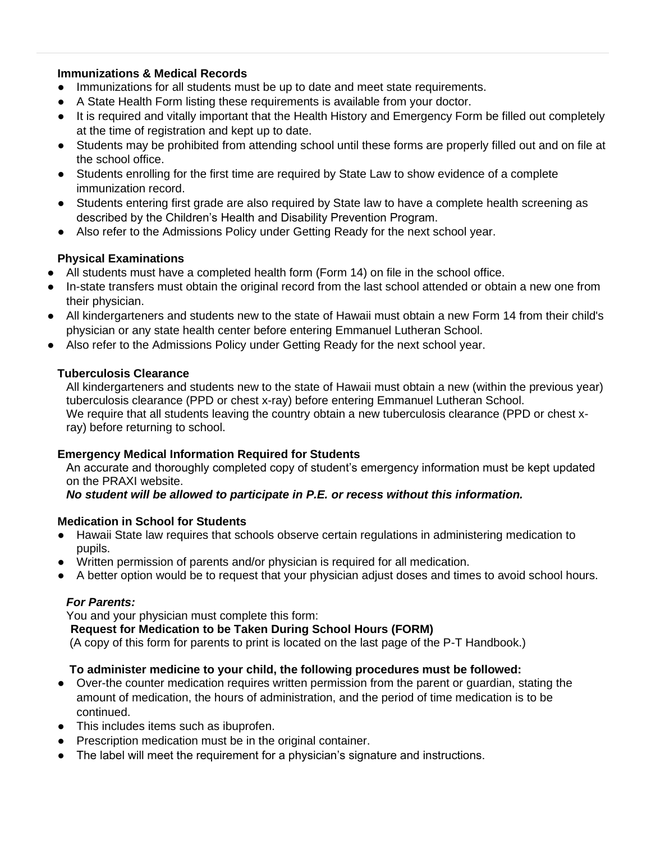#### **Immunizations & Medical Records**

- Immunizations for all students must be up to date and meet state requirements.
- A State Health Form listing these requirements is available from your doctor.
- It is required and vitally important that the Health History and Emergency Form be filled out completely at the time of registration and kept up to date.
- Students may be prohibited from attending school until these forms are properly filled out and on file at the school office.
- Students enrolling for the first time are required by State Law to show evidence of a complete immunization record.
- Students entering first grade are also required by State law to have a complete health screening as described by the Children's Health and Disability Prevention Program.
- Also refer to the Admissions Policy under Getting Ready for the next school year.

### **Physical Examinations**

- All students must have a completed health form (Form 14) on file in the school office.
- In-state transfers must obtain the original record from the last school attended or obtain a new one from their physician.
- All kindergarteners and students new to the state of Hawaii must obtain a new Form 14 from their child's physician or any state health center before entering Emmanuel Lutheran School.
- Also refer to the Admissions Policy under Getting Ready for the next school year.

#### **Tuberculosis Clearance**

All kindergarteners and students new to the state of Hawaii must obtain a new (within the previous year) tuberculosis clearance (PPD or chest x-ray) before entering Emmanuel Lutheran School. We require that all students leaving the country obtain a new tuberculosis clearance (PPD or chest xray) before returning to school.

#### **Emergency Medical Information Required for Students**

An accurate and thoroughly completed copy of student's emergency information must be kept updated on the PRAXI website.

*No student will be allowed to participate in P.E. or recess without this information.* 

### **Medication in School for Students**

- Hawaii State law requires that schools observe certain regulations in administering medication to pupils.
- Written permission of parents and/or physician is required for all medication.
- A better option would be to request that your physician adjust doses and times to avoid school hours.

### *For Parents:*

You and your physician must complete this form:

 **Request for Medication to be Taken During School Hours (FORM)**

(A copy of this form for parents to print is located on the last page of the P-T Handbook.)

### **To administer medicine to your child, the following procedures must be followed:**

- Over-the counter medication requires written permission from the parent or guardian, stating the amount of medication, the hours of administration, and the period of time medication is to be continued.
- This includes items such as ibuprofen.
- Prescription medication must be in the original container.
- The label will meet the requirement for a physician's signature and instructions.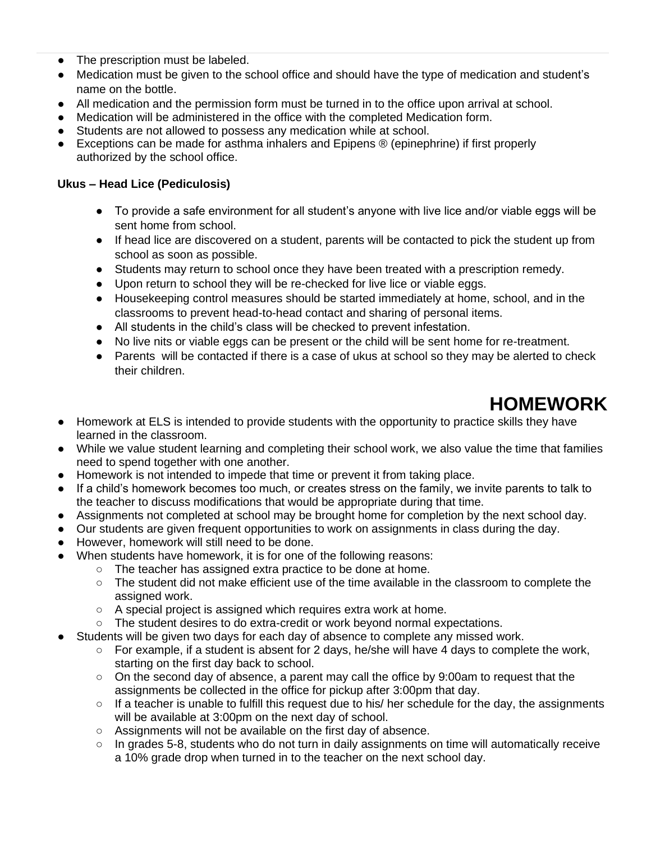- The prescription must be labeled.
- Medication must be given to the school office and should have the type of medication and student's name on the bottle.
- All medication and the permission form must be turned in to the office upon arrival at school.
- Medication will be administered in the office with the completed Medication form.
- Students are not allowed to possess any medication while at school.
- Exceptions can be made for asthma inhalers and Epipens  $\circledR$  (epinephrine) if first properly authorized by the school office.

#### **Ukus – Head Lice (Pediculosis)**

- To provide a safe environment for all student's anyone with live lice and/or viable eggs will be sent home from school.
- If head lice are discovered on a student, parents will be contacted to pick the student up from school as soon as possible.
- Students may return to school once they have been treated with a prescription remedy.
- Upon return to school they will be re-checked for live lice or viable eggs.
- Housekeeping control measures should be started immediately at home, school, and in the classrooms to prevent head-to-head contact and sharing of personal items.
- All students in the child's class will be checked to prevent infestation.
- No live nits or viable eggs can be present or the child will be sent home for re-treatment.
- Parents will be contacted if there is a case of ukus at school so they may be alerted to check their children.

# **HOMEWORK**

- <span id="page-39-0"></span>● Homework at ELS is intended to provide students with the opportunity to practice skills they have learned in the classroom.
- While we value student learning and completing their school work, we also value the time that families need to spend together with one another.
- Homework is not intended to impede that time or prevent it from taking place.
- If a child's homework becomes too much, or creates stress on the family, we invite parents to talk to the teacher to discuss modifications that would be appropriate during that time.
- Assignments not completed at school may be brought home for completion by the next school day.
- Our students are given frequent opportunities to work on assignments in class during the day.
- However, homework will still need to be done.
- When students have homework, it is for one of the following reasons:
	- The teacher has assigned extra practice to be done at home.
	- The student did not make efficient use of the time available in the classroom to complete the assigned work.
	- A special project is assigned which requires extra work at home.
	- The student desires to do extra-credit or work beyond normal expectations.
- Students will be given two days for each day of absence to complete any missed work.
	- For example, if a student is absent for 2 days, he/she will have 4 days to complete the work, starting on the first day back to school.
	- On the second day of absence, a parent may call the office by 9:00am to request that the assignments be collected in the office for pickup after 3:00pm that day.
	- $\circ$  If a teacher is unable to fulfill this request due to his/ her schedule for the day, the assignments will be available at 3:00pm on the next day of school.
	- Assignments will not be available on the first day of absence.
	- In grades 5-8, students who do not turn in daily assignments on time will automatically receive a 10% grade drop when turned in to the teacher on the next school day.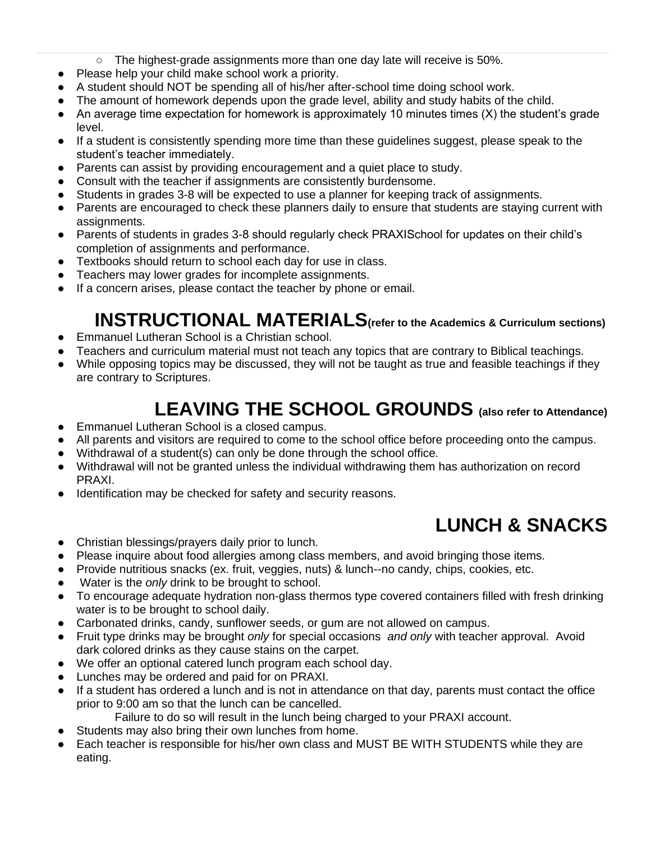- $\circ$  The highest-grade assignments more than one day late will receive is 50%.
- Please help your child make school work a priority.
- A student should NOT be spending all of his/her after-school time doing school work.
- The amount of homework depends upon the grade level, ability and study habits of the child.
- An average time expectation for homework is approximately 10 minutes times (X) the student's grade level.
- If a student is consistently spending more time than these guidelines suggest, please speak to the student's teacher immediately.
- Parents can assist by providing encouragement and a quiet place to study.
- Consult with the teacher if assignments are consistently burdensome.
- Students in grades 3-8 will be expected to use a planner for keeping track of assignments.
- Parents are encouraged to check these planners daily to ensure that students are staying current with assignments.
- Parents of students in grades 3-8 should regularly check PRAXISchool for updates on their child's completion of assignments and performance.
- Textbooks should return to school each day for use in class.
- Teachers may lower grades for incomplete assignments.
- If a concern arises, please contact the teacher by phone or email.

# **INSTRUCTIONAL MATERIALS(refer to the Academics & Curriculum sections)**

- <span id="page-40-0"></span>● Emmanuel Lutheran School is a Christian school.
- Teachers and curriculum material must not teach any topics that are contrary to Biblical teachings.
- While opposing topics may be discussed, they will not be taught as true and feasible teachings if they are contrary to Scriptures.

# **LEAVING THE SCHOOL GROUNDS (also refer to Attendance)**

- <span id="page-40-1"></span>Emmanuel Lutheran School is a closed campus.
- All parents and visitors are required to come to the school office before proceeding onto the campus.
- Withdrawal of a student(s) can only be done through the school office.
- Withdrawal will not be granted unless the individual withdrawing them has authorization on record PRAXI.
- Identification may be checked for safety and security reasons.

# **LUNCH & SNACKS**

- <span id="page-40-2"></span>● Christian blessings/prayers daily prior to lunch.
- Please inquire about food allergies among class members, and avoid bringing those items.
- Provide nutritious snacks (ex. fruit, veggies, nuts) & lunch--no candy, chips, cookies, etc.
- Water is the *only* drink to be brought to school.
- To encourage adequate hydration non-glass thermos type covered containers filled with fresh drinking water is to be brought to school daily.
- Carbonated drinks, candy, sunflower seeds, or gum are not allowed on campus.
- Fruit type drinks may be brought *only* for special occasions *and only* with teacher approval. Avoid dark colored drinks as they cause stains on the carpet.
- We offer an optional catered lunch program each school day.
- Lunches may be ordered and paid for on PRAXI.
- If a student has ordered a lunch and is not in attendance on that day, parents must contact the office prior to 9:00 am so that the lunch can be cancelled.
	- Failure to do so will result in the lunch being charged to your PRAXI account.
- Students may also bring their own lunches from home.
- Each teacher is responsible for his/her own class and MUST BE WITH STUDENTS while they are eating.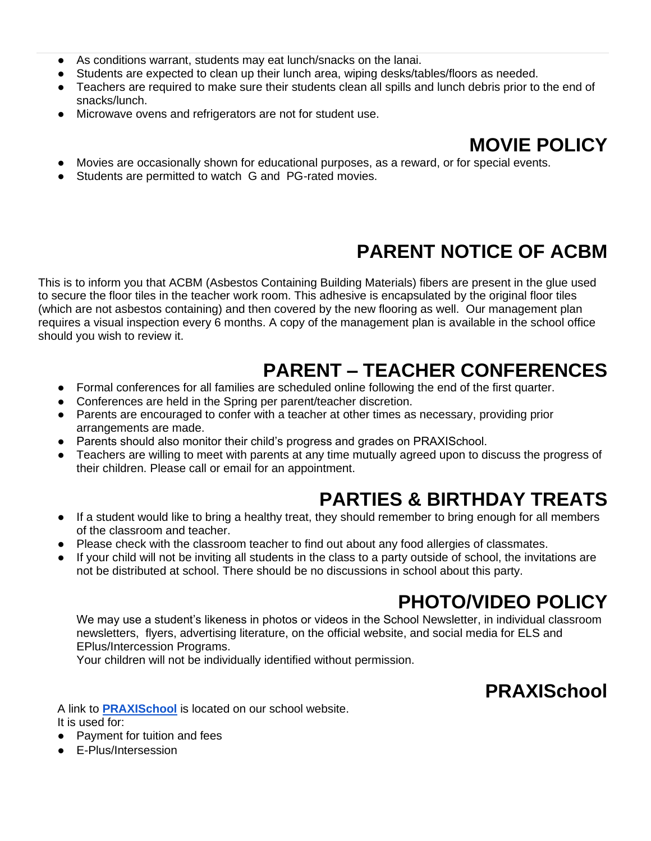- As conditions warrant, students may eat lunch/snacks on the lanai.
- Students are expected to clean up their lunch area, wiping desks/tables/floors as needed.
- Teachers are required to make sure their students clean all spills and lunch debris prior to the end of snacks/lunch.
- Microwave ovens and refrigerators are not for student use.

### **MOVIE POLICY**

- <span id="page-41-0"></span>Movies are occasionally shown for educational purposes, as a reward, or for special events.
- <span id="page-41-1"></span>Students are permitted to watch G and PG-rated movies.

# **PARENT NOTICE OF ACBM**

This is to inform you that ACBM (Asbestos Containing Building Materials) fibers are present in the glue used to secure the floor tiles in the teacher work room. This adhesive is encapsulated by the original floor tiles (which are not asbestos containing) and then covered by the new flooring as well. Our management plan requires a visual inspection every 6 months. A copy of the management plan is available in the school office should you wish to review it.

# **PARENT – TEACHER CONFERENCES**

- <span id="page-41-2"></span>● Formal conferences for all families are scheduled online following the end of the first quarter.
- Conferences are held in the Spring per parent/teacher discretion.
- Parents are encouraged to confer with a teacher at other times as necessary, providing prior arrangements are made.
- Parents should also monitor their child's progress and grades on PRAXISchool.
- Teachers are willing to meet with parents at any time mutually agreed upon to discuss the progress of their children. Please call or email for an appointment.

# **PARTIES & BIRTHDAY TREATS**

- <span id="page-41-3"></span>● If a student would like to bring a healthy treat, they should remember to bring enough for all members of the classroom and teacher.
- Please check with the classroom teacher to find out about any food allergies of classmates.
- If your child will not be inviting all students in the class to a party outside of school, the invitations are not be distributed at school. There should be no discussions in school about this party.

# **PHOTO/VIDEO POLICY**

<span id="page-41-4"></span>We may use a student's likeness in photos or videos in the School Newsletter, in individual classroom newsletters, flyers, advertising literature, on the official website, and social media for ELS and EPlus/Intercession Programs.

Your children will not be individually identified without permission.

# **PRAXISchool**

<span id="page-41-5"></span>A link to **[PRAXISchool](https://app.praxischool.com/parent_login.php)** is located on our school website.

It is used for:

- Payment for tuition and fees
- F-Plus/Intersession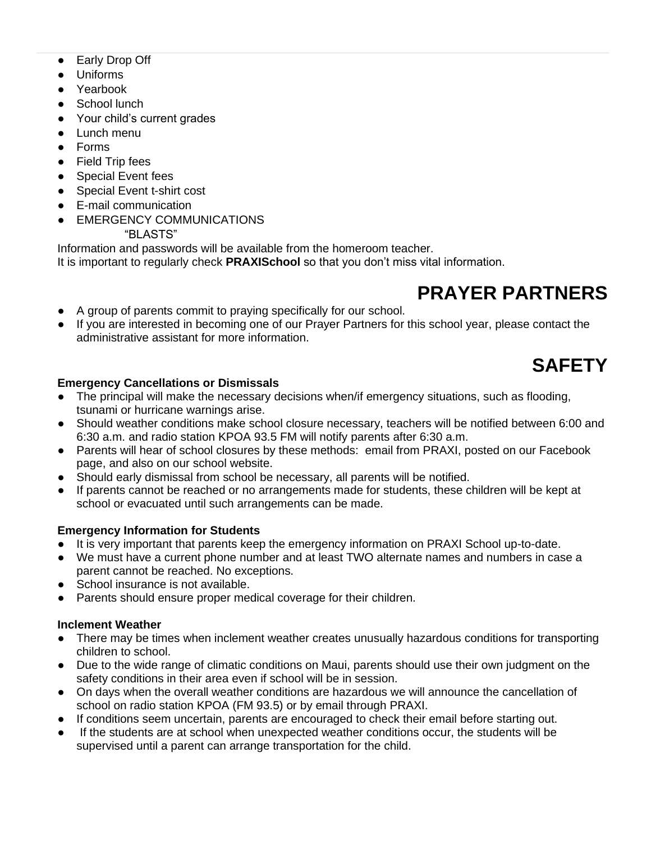- Early Drop Off
- Uniforms
- Yearbook
- School lunch
- Your child's current grades
- Lunch menu
- Forms
- Field Trip fees
- Special Event fees
- Special Event t-shirt cost
- E-mail communication
- **EMERGENCY COMMUNICATIONS**

"BLASTS"

Information and passwords will be available from the homeroom teacher.

It is important to regularly check **PRAXISchool** so that you don't miss vital information.

# **PRAYER PARTNERS**

- <span id="page-42-0"></span>● A group of parents commit to praying specifically for our school.
- If you are interested in becoming one of our Prayer Partners for this school year, please contact the administrative assistant for more information.

# **SAFETY**

### <span id="page-42-1"></span>**Emergency Cancellations or Dismissals**

- The principal will make the necessary decisions when/if emergency situations, such as flooding, tsunami or hurricane warnings arise.
- Should weather conditions make school closure necessary, teachers will be notified between 6:00 and 6:30 a.m. and radio station KPOA 93.5 FM will notify parents after 6:30 a.m.
- Parents will hear of school closures by these methods: email from PRAXI, posted on our Facebook page, and also on our school website.
- Should early dismissal from school be necessary, all parents will be notified.
- If parents cannot be reached or no arrangements made for students, these children will be kept at school or evacuated until such arrangements can be made.

### **Emergency Information for Students**

- It is very important that parents keep the emergency information on PRAXI School up-to-date.
- We must have a current phone number and at least TWO alternate names and numbers in case a parent cannot be reached. No exceptions.
- School insurance is not available.
- Parents should ensure proper medical coverage for their children.

#### **Inclement Weather**

- There may be times when inclement weather creates unusually hazardous conditions for transporting children to school.
- Due to the wide range of climatic conditions on Maui, parents should use their own judgment on the safety conditions in their area even if school will be in session.
- On days when the overall weather conditions are hazardous we will announce the cancellation of school on radio station KPOA (FM 93.5) or by email through PRAXI.
- If conditions seem uncertain, parents are encouraged to check their email before starting out.
- If the students are at school when unexpected weather conditions occur, the students will be supervised until a parent can arrange transportation for the child.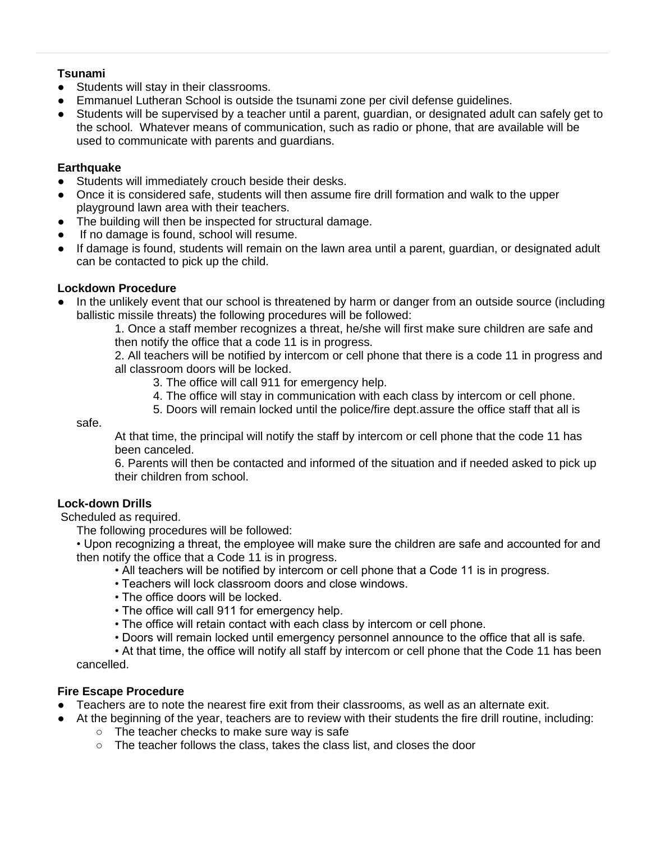#### **Tsunami**

- Students will stay in their classrooms.
- Emmanuel Lutheran School is outside the tsunami zone per civil defense guidelines.
- Students will be supervised by a teacher until a parent, guardian, or designated adult can safely get to the school. Whatever means of communication, such as radio or phone, that are available will be used to communicate with parents and guardians.

### **Earthquake**

- Students will immediately crouch beside their desks.
- Once it is considered safe, students will then assume fire drill formation and walk to the upper playground lawn area with their teachers.
- The building will then be inspected for structural damage.
- If no damage is found, school will resume.
- If damage is found, students will remain on the lawn area until a parent, guardian, or designated adult can be contacted to pick up the child.

#### **Lockdown Procedure**

In the unlikely event that our school is threatened by harm or danger from an outside source (including ballistic missile threats) the following procedures will be followed:

1. Once a staff member recognizes a threat, he/she will first make sure children are safe and then notify the office that a code 11 is in progress.

2. All teachers will be notified by intercom or cell phone that there is a code 11 in progress and all classroom doors will be locked.

- 3. The office will call 911 for emergency help.
- 4. The office will stay in communication with each class by intercom or cell phone.
- 5. Doors will remain locked until the police/fire dept.assure the office staff that all is

safe.

At that time, the principal will notify the staff by intercom or cell phone that the code 11 has been canceled.

6. Parents will then be contacted and informed of the situation and if needed asked to pick up their children from school.

### **Lock-down Drills**

Scheduled as required.

The following procedures will be followed:

• Upon recognizing a threat, the employee will make sure the children are safe and accounted for and then notify the office that a Code 11 is in progress.

- All teachers will be notified by intercom or cell phone that a Code 11 is in progress.
- Teachers will lock classroom doors and close windows.
- The office doors will be locked.
- The office will call 911 for emergency help.
- The office will retain contact with each class by intercom or cell phone.
- Doors will remain locked until emergency personnel announce to the office that all is safe.

• At that time, the office will notify all staff by intercom or cell phone that the Code 11 has been cancelled.

#### **Fire Escape Procedure**

- Teachers are to note the nearest fire exit from their classrooms, as well as an alternate exit.
	- At the beginning of the year, teachers are to review with their students the fire drill routine, including:
		- The teacher checks to make sure way is safe
		- The teacher follows the class, takes the class list, and closes the door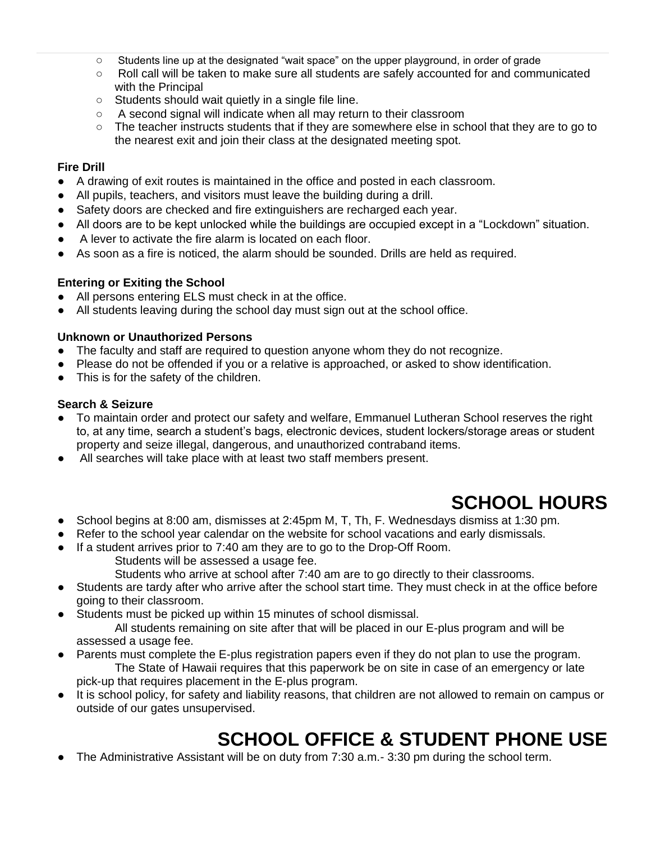- Students line up at the designated "wait space" on the upper playground, in order of grade
- Roll call will be taken to make sure all students are safely accounted for and communicated with the Principal
- Students should wait quietly in a single file line.
- A second signal will indicate when all may return to their classroom
- The teacher instructs students that if they are somewhere else in school that they are to go to the nearest exit and join their class at the designated meeting spot.

#### **Fire Drill**

- A drawing of exit routes is maintained in the office and posted in each classroom.
- All pupils, teachers, and visitors must leave the building during a drill.
- Safety doors are checked and fire extinguishers are recharged each year.
- All doors are to be kept unlocked while the buildings are occupied except in a "Lockdown" situation.
- A lever to activate the fire alarm is located on each floor.
- As soon as a fire is noticed, the alarm should be sounded. Drills are held as required.

#### **Entering or Exiting the School**

- All persons entering ELS must check in at the office.
- All students leaving during the school day must sign out at the school office.

#### **Unknown or Unauthorized Persons**

- The faculty and staff are required to question anyone whom they do not recognize.
- Please do not be offended if you or a relative is approached, or asked to show identification.
- This is for the safety of the children.

#### **Search & Seizure**

- To maintain order and protect our safety and welfare, Emmanuel Lutheran School reserves the right to, at any time, search a student's bags, electronic devices, student lockers/storage areas or student property and seize illegal, dangerous, and unauthorized contraband items.
- All searches will take place with at least two staff members present.

# **SCHOOL HOURS**

- <span id="page-44-0"></span>● School begins at 8:00 am, dismisses at 2:45pm M, T, Th, F. Wednesdays dismiss at 1:30 pm.
- Refer to the school year calendar on the website for school vacations and early dismissals.
- If a student arrives prior to 7:40 am they are to go to the Drop-Off Room.

Students will be assessed a usage fee.

Students who arrive at school after 7:40 am are to go directly to their classrooms.

- Students are tardy after who arrive after the school start time. They must check in at the office before going to their classroom.
- Students must be picked up within 15 minutes of school dismissal. All students remaining on site after that will be placed in our E-plus program and will be assessed a usage fee.
- Parents must complete the E-plus registration papers even if they do not plan to use the program. The State of Hawaii requires that this paperwork be on site in case of an emergency or late pick-up that requires placement in the E-plus program.
- It is school policy, for safety and liability reasons, that children are not allowed to remain on campus or outside of our gates unsupervised.

# **SCHOOL OFFICE & STUDENT PHONE USE**

<span id="page-44-1"></span>The Administrative Assistant will be on duty from 7:30 a.m.- 3:30 pm during the school term.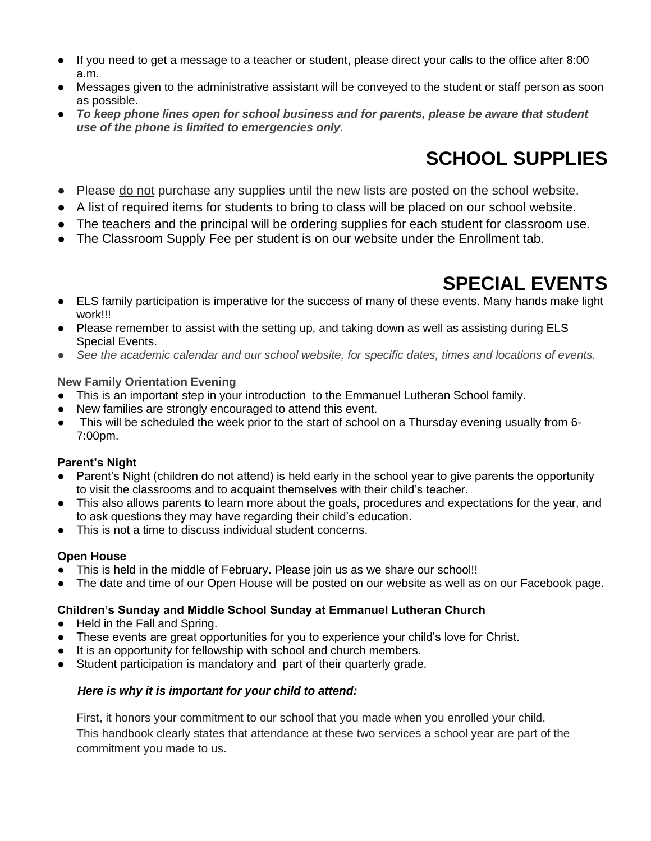- If you need to get a message to a teacher or student, please direct your calls to the office after 8:00 a.m.
- Messages given to the administrative assistant will be conveyed to the student or staff person as soon as possible.
- *To keep phone lines open for school business and for parents, please be aware that student use of the phone is limited to emergencies only.*

# **SCHOOL SUPPLIES**

- <span id="page-45-0"></span>• Please do not purchase any supplies until the new lists are posted on the school website.
- A list of required items for students to bring to class will be placed on our school website.
- The teachers and the principal will be ordering supplies for each student for classroom use.
- The Classroom Supply Fee per student is on our website under the Enrollment tab.

# **SPECIAL EVENTS**

- <span id="page-45-1"></span>● ELS family participation is imperative for the success of many of these events. Many hands make light work!!!
- Please remember to assist with the setting up, and taking down as well as assisting during ELS Special Events.
- *See the academic calendar and our school website, for specific dates, times and locations of events.*

#### **New Family Orientation Evening**

- This is an important step in your introduction to the Emmanuel Lutheran School family.
- New families are strongly encouraged to attend this event.
- This will be scheduled the week prior to the start of school on a Thursday evening usually from 6-7:00pm.

### **Parent's Night**

- Parent's Night (children do not attend) is held early in the school year to give parents the opportunity to visit the classrooms and to acquaint themselves with their child's teacher.
- This also allows parents to learn more about the goals, procedures and expectations for the year, and to ask questions they may have regarding their child's education.
- This is not a time to discuss individual student concerns.

### **Open House**

- This is held in the middle of February. Please join us as we share our school!!
- The date and time of our Open House will be posted on our website as well as on our Facebook page.

### **Children's Sunday and Middle School Sunday at Emmanuel Lutheran Church**

- Held in the Fall and Spring.
- These events are great opportunities for you to experience your child's love for Christ.
- It is an opportunity for fellowship with school and church members.
- Student participation is mandatory and part of their quarterly grade.

### *Here is why it is important for your child to attend:*

First, it honors your commitment to our school that you made when you enrolled your child. This handbook clearly states that attendance at these two services a school year are part of the commitment you made to us.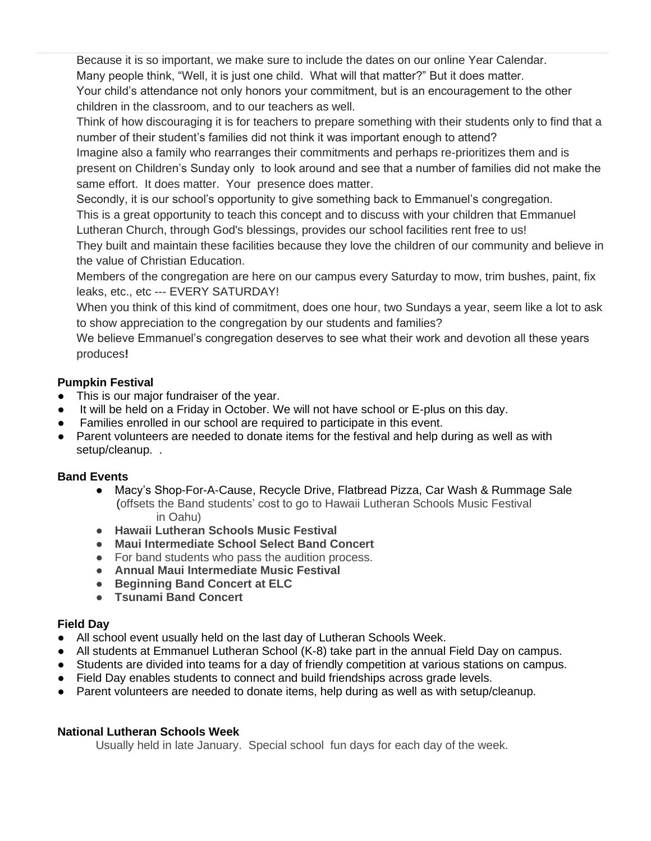Because it is so important, we make sure to include the dates on our online Year Calendar. Many people think, "Well, it is just one child. What will that matter?" But it does matter.

Your child's attendance not only honors your commitment, but is an encouragement to the other children in the classroom, and to our teachers as well.

Think of how discouraging it is for teachers to prepare something with their students only to find that a number of their student's families did not think it was important enough to attend?

Imagine also a family who rearranges their commitments and perhaps re-prioritizes them and is present on Children's Sunday only to look around and see that a number of families did not make the same effort. It does matter. Your presence does matter.

Secondly, it is our school's opportunity to give something back to Emmanuel's congregation.

This is a great opportunity to teach this concept and to discuss with your children that Emmanuel Lutheran Church, through God's blessings, provides our school facilities rent free to us!

They built and maintain these facilities because they love the children of our community and believe in the value of Christian Education.

Members of the congregation are here on our campus every Saturday to mow, trim bushes, paint, fix leaks, etc., etc --- EVERY SATURDAY!

When you think of this kind of commitment, does one hour, two Sundays a year, seem like a lot to ask to show appreciation to the congregation by our students and families?

We believe Emmanuel's congregation deserves to see what their work and devotion all these years produces**!** 

### **Pumpkin Festival**

- This is our major fundraiser of the year.
- It will be held on a Friday in October. We will not have school or E-plus on this day.
- Families enrolled in our school are required to participate in this event.
- Parent volunteers are needed to donate items for the festival and help during as well as with setup/cleanup. .

### **Band Events**

- Macy's Shop-For-A-Cause, Recycle Drive, Flatbread Pizza, Car Wash & Rummage Sale (offsets the Band students' cost to go to Hawaii Lutheran Schools Music Festival in Oahu)
- **Hawaii Lutheran Schools Music Festival**
- **Maui Intermediate School Select Band Concert**
- For band students who pass the audition process.
- **Annual Maui Intermediate Music Festival**
- **Beginning Band Concert at ELC**
- **Tsunami Band Concert**

### **Field Day**

- All school event usually held on the last day of Lutheran Schools Week.
- All students at Emmanuel Lutheran School (K-8) take part in the annual Field Day on campus.
- Students are divided into teams for a day of friendly competition at various stations on campus.
- Field Day enables students to connect and build friendships across grade levels.
- Parent volunteers are needed to donate items, help during as well as with setup/cleanup.

### **National Lutheran Schools Week**

Usually held in late January. Special school fun days for each day of the week.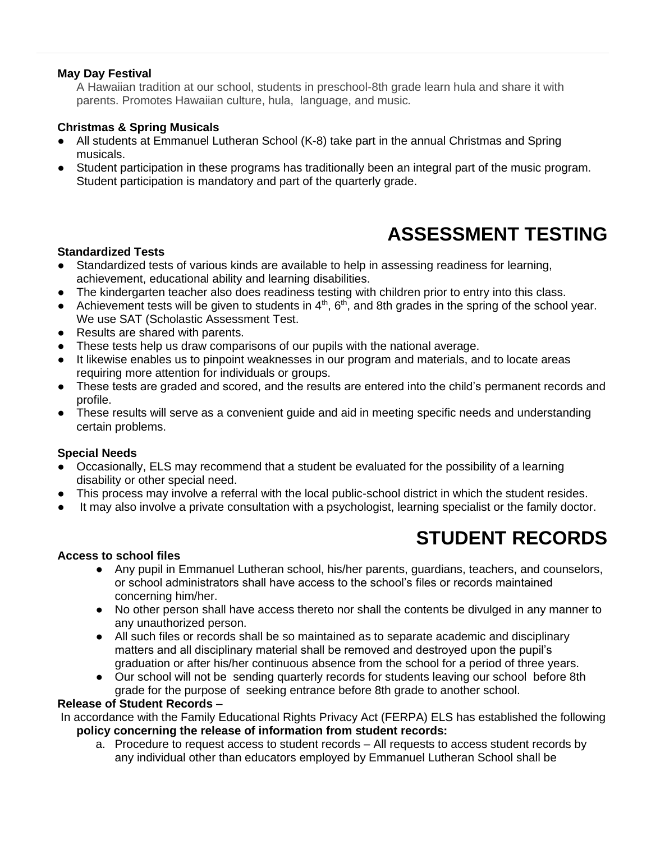#### **May Day Festival**

A Hawaiian tradition at our school, students in preschool-8th grade learn hula and share it with parents. Promotes Hawaiian culture, hula, language, and music*.*

#### **Christmas & Spring Musicals**

- All students at Emmanuel Lutheran School (K-8) take part in the annual Christmas and Spring musicals.
- Student participation in these programs has traditionally been an integral part of the music program. Student participation is mandatory and part of the quarterly grade.

# **ASSESSMENT TESTING**

#### <span id="page-47-0"></span>**Standardized Tests**

- Standardized tests of various kinds are available to help in assessing readiness for learning, achievement, educational ability and learning disabilities.
- The kindergarten teacher also does readiness testing with children prior to entry into this class.
- Achievement tests will be given to students in  $4<sup>th</sup>$ ,  $6<sup>th</sup>$ , and 8th grades in the spring of the school year. We use SAT (Scholastic Assessment Test.
- Results are shared with parents.
- These tests help us draw comparisons of our pupils with the national average.
- It likewise enables us to pinpoint weaknesses in our program and materials, and to locate areas requiring more attention for individuals or groups.
- These tests are graded and scored, and the results are entered into the child's permanent records and profile.
- These results will serve as a convenient guide and aid in meeting specific needs and understanding certain problems.

#### **Special Needs**

- Occasionally, ELS may recommend that a student be evaluated for the possibility of a learning disability or other special need.
- This process may involve a referral with the local public-school district in which the student resides.
- It may also involve a private consultation with a psychologist, learning specialist or the family doctor.

# **STUDENT RECORDS**

#### <span id="page-47-1"></span>**Access to school files**

- Any pupil in Emmanuel Lutheran school, his/her parents, guardians, teachers, and counselors, or school administrators shall have access to the school's files or records maintained concerning him/her.
- No other person shall have access thereto nor shall the contents be divulged in any manner to any unauthorized person.
- All such files or records shall be so maintained as to separate academic and disciplinary matters and all disciplinary material shall be removed and destroyed upon the pupil's graduation or after his/her continuous absence from the school for a period of three years.
- Our school will not be sending quarterly records for students leaving our school before 8th grade for the purpose of seeking entrance before 8th grade to another school.

#### **Release of Student Records** –

In accordance with the Family Educational Rights Privacy Act (FERPA) ELS has established the following **policy concerning the release of information from student records:** 

a. Procedure to request access to student records – All requests to access student records by any individual other than educators employed by Emmanuel Lutheran School shall be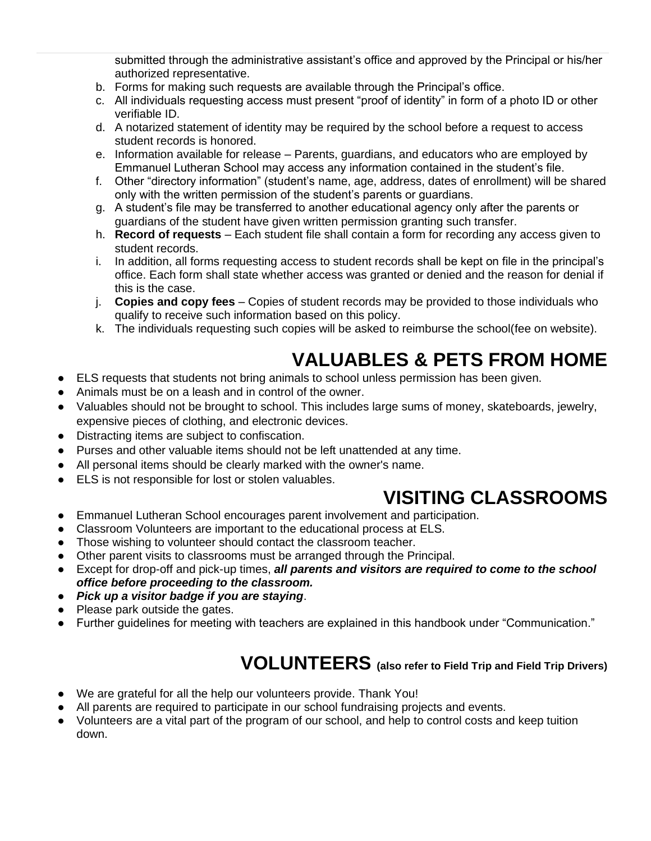submitted through the administrative assistant's office and approved by the Principal or his/her authorized representative.

- b. Forms for making such requests are available through the Principal's office.
- c. All individuals requesting access must present "proof of identity" in form of a photo ID or other verifiable ID.
- d. A notarized statement of identity may be required by the school before a request to access student records is honored.
- e. Information available for release Parents, guardians, and educators who are employed by Emmanuel Lutheran School may access any information contained in the student's file.
- f. Other "directory information" (student's name, age, address, dates of enrollment) will be shared only with the written permission of the student's parents or guardians.
- g. A student's file may be transferred to another educational agency only after the parents or guardians of the student have given written permission granting such transfer.
- h. **Record of requests** Each student file shall contain a form for recording any access given to student records.
- i. In addition, all forms requesting access to student records shall be kept on file in the principal's office. Each form shall state whether access was granted or denied and the reason for denial if this is the case.
- j. **Copies and copy fees**  Copies of student records may be provided to those individuals who qualify to receive such information based on this policy.
- k. The individuals requesting such copies will be asked to reimburse the school(fee on website).

# **VALUABLES & PETS FROM HOME**

- <span id="page-48-0"></span>● ELS requests that students not bring animals to school unless permission has been given.
- Animals must be on a leash and in control of the owner.
- Valuables should not be brought to school. This includes large sums of money, skateboards, jewelry, expensive pieces of clothing, and electronic devices.
- Distracting items are subject to confiscation.
- Purses and other valuable items should not be left unattended at any time.
- All personal items should be clearly marked with the owner's name.
- <span id="page-48-1"></span>ELS is not responsible for lost or stolen valuables.

# **VISITING CLASSROOMS**

- Emmanuel Lutheran School encourages parent involvement and participation.
- Classroom Volunteers are important to the educational process at ELS.
- Those wishing to volunteer should contact the classroom teacher.
- Other parent visits to classrooms must be arranged through the Principal.
- Except for drop-off and pick-up times, *all parents and visitors are required to come to the school office before proceeding to the classroom.*
- *Pick up a visitor badge if you are staying*.
- Please park outside the gates.
- <span id="page-48-2"></span>Further guidelines for meeting with teachers are explained in this handbook under "Communication."

# **VOLUNTEERS (also refer to Field Trip and Field Trip Drivers)**

- We are grateful for all the help our volunteers provide. Thank You!
- All parents are required to participate in our school fundraising projects and events.
- Volunteers are a vital part of the program of our school, and help to control costs and keep tuition down.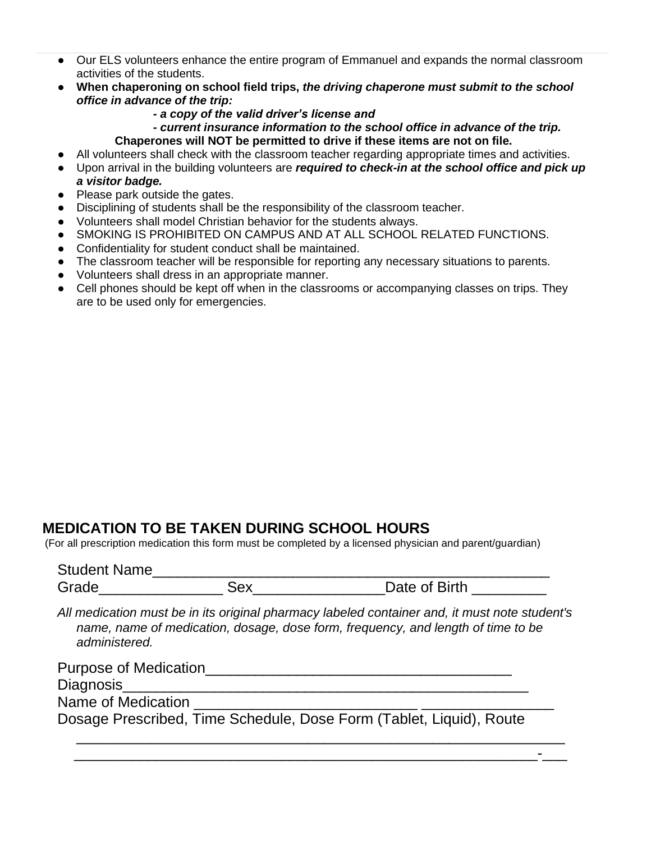- Our ELS volunteers enhance the entire program of Emmanuel and expands the normal classroom activities of the students.
- **When chaperoning on school field trips,** *the driving chaperone must submit to the school office in advance of the trip:*
	- *- a copy of the valid driver's license and*

*- current insurance information to the school office in advance of the trip.*  **Chaperones will NOT be permitted to drive if these items are not on file.**

- All volunteers shall check with the classroom teacher regarding appropriate times and activities.
- Upon arrival in the building volunteers are *required to check-in at the school office and pick up a visitor badge.*
- Please park outside the gates.
- Disciplining of students shall be the responsibility of the classroom teacher.
- Volunteers shall model Christian behavior for the students always.
- SMOKING IS PROHIBITED ON CAMPUS AND AT ALL SCHOOL RELATED FUNCTIONS.
- Confidentiality for student conduct shall be maintained.
- The classroom teacher will be responsible for reporting any necessary situations to parents.
- Volunteers shall dress in an appropriate manner.
- Cell phones should be kept off when in the classrooms or accompanying classes on trips. They are to be used only for emergencies.

### <span id="page-49-0"></span>**MEDICATION TO BE TAKEN DURING SCHOOL HOURS**

(For all prescription medication this form must be completed by a licensed physician and parent/guardian)

| <b>Student Name</b> |               |
|---------------------|---------------|
| Grade               | Date of Birth |

*All medication must be in its original pharmacy labeled container and, it must note student's name, name of medication, dosage, dose form, frequency, and length of time to be administered.*

| <b>Purpose of Medication</b>                                        |  |
|---------------------------------------------------------------------|--|
| Diagnosis                                                           |  |
| Name of Medication                                                  |  |
| Dosage Prescribed, Time Schedule, Dose Form (Tablet, Liquid), Route |  |

\_\_\_\_\_\_\_\_\_\_\_\_\_\_\_\_\_\_\_\_\_\_\_\_\_\_\_\_\_\_\_\_\_\_\_\_\_\_\_\_\_\_\_\_\_\_\_\_\_\_\_\_\_\_\_\_-\_\_\_